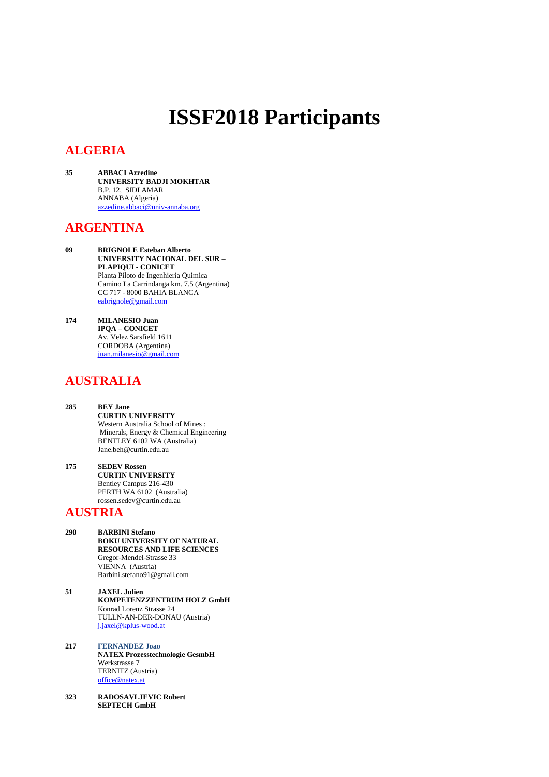# **ISSF2018 Participants**

# **ALGERIA**

**35 ABBACI Azzedine UNIVERSITY BADJI MOKHTAR**  B.P. 12, SIDI AMAR ANNABA (Algeria) [azzedine.abbaci@univ-annaba.org](mailto:azzedine.abbaci@univ-annaba.org)

### **ARGENTINA**

- **09 BRIGNOLE Esteban Alberto UNIVERSITY NACIONAL DEL SUR – PLAPIQUI - CONICET** Planta Piloto de Ingenhieria Quimica Camino La Carrindanga km. 7.5 (Argentina) CC 717 - 8000 BAHIA BLANCA [eabrignole@gmail.com](mailto:eabrignole@gmail.com)
- **174 MILANESIO Juan IPQA – CONICET** Av. Velez Sarsfield 1611 CORDOBA (Argentina) [juan.milanesio@gmail.com](mailto:juan.milanesio@gmail.com)

# **AUSTRALIA**

- **285 BEY Jane CURTIN UNIVERSITY**  Western Australia School of Mines : Minerals, Energy & Chemical Engineering BENTLEY 6102 WA (Australia) Jane.beh@curtin.edu.au
- **175 SEDEV Rossen CURTIN UNIVERSITY** Bentley Campus 216-430 PERTH WA 6102 (Australia) rossen.sedev@curtin.edu.au

#### **AUSTRIA**

- **290 BARBINI Stefano BOKU UNIVERSITY OF NATURAL RESOURCES AND LIFE SCIENCES** Gregor-Mendel-Strasse 33 VIENNA (Austria) Barbini.stefano91@gmail.com
- **51 JAXEL Julien KOMPETENZZENTRUM HOLZ GmbH** Konrad Lorenz Strasse 24 TULLN-AN-DER-DONAU (Austria) [j.jaxel@kplus-wood.at](mailto:j.jaxel@kplus-wood.at)
- **217 FERNANDEZ Joao NATEX Prozesstechnologie GesmbH** Werkstrasse 7 TERNITZ (Austria) [office@natex.at](mailto:office@natex.at)
- **323 RADOSAVLJEVIC Robert SEPTECH GmbH**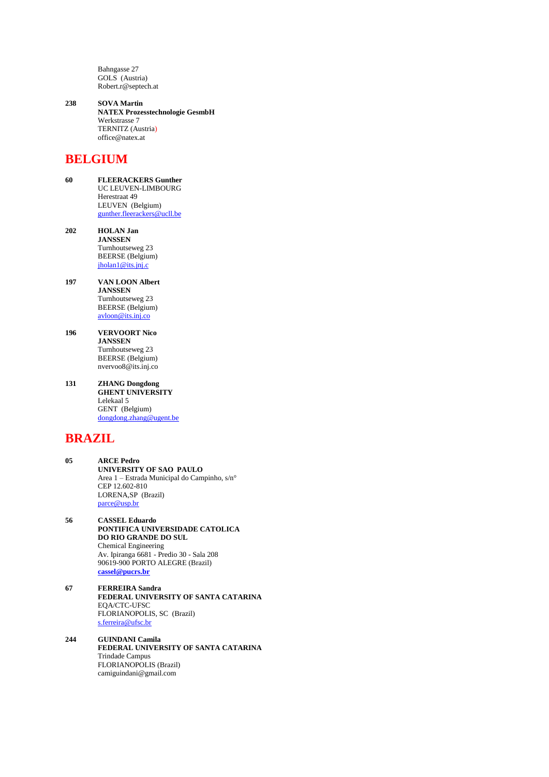Bahngasse 27 GOLS (Austria) Robert.r@septech.at

**238 SOVA Martin NATEX Prozesstechnologie GesmbH** Werkstrasse 7 TERNITZ (Austria) office@natex.at

## **BELGIUM**

- **60 FLEERACKERS Gunther** UC LEUVEN-LIMBOURG Herestraat 49 LEUVEN (Belgium) [gunther.fleerackers@ucll.be](mailto:gunther.fleerackers@ucll.be)
- **202 HOLAN Jan JANSSEN** Turnhoutseweg 23 BEERSE (Belgium)  $iholan1@its.jnj.c$
- **197 VAN LOON Albert JANSSEN** Turnhoutseweg 23 BEERSE (Belgium) [avloon@its.inj.co](mailto:avloon@its.inj.co)
- **196 VERVOORT Nico JANSSEN** Turnhoutseweg 23 BEERSE (Belgium) nvervoo8@its.inj.co
- **131 ZHANG Dongdong GHENT UNIVERSITY** Lelekaal 5 GENT (Belgium) [dongdong.zhang@ugent.be](mailto:dongdong.zhang@ugent.be)

# **BRAZIL**

- **05 ARCE Pedro UNIVERSITY OF SAO PAULO** Area 1 – Estrada Municipal do Campinho, s/n° CEP 12.602-810 LORENA,SP (Brazil) [parce@usp.br](mailto:parce@usp.br)
- **56 CASSEL Eduardo PONTIFICA UNIVERSIDADE CATOLICA DO RIO GRANDE DO SUL** Chemical Engineering Av. Ipiranga 6681 - Predio 30 - Sala 208 90619-900 PORTO ALEGRE (Brazil) **[cassel@pucrs.br](mailto:cassel@pucrs.br)**
- **67 FERREIRA Sandra FEDERAL UNIVERSITY OF SANTA CATARINA** EQA/CTC-UFSC FLORIANOPOLIS, SC (Brazil) [s.ferreira@ufsc.br](mailto:s.ferreira@ufsc.br)
- **244 GUINDANI Camila FEDERAL UNIVERSITY OF SANTA CATARINA** Trindade Campus FLORIANOPOLIS (Brazil) camiguindani@gmail.com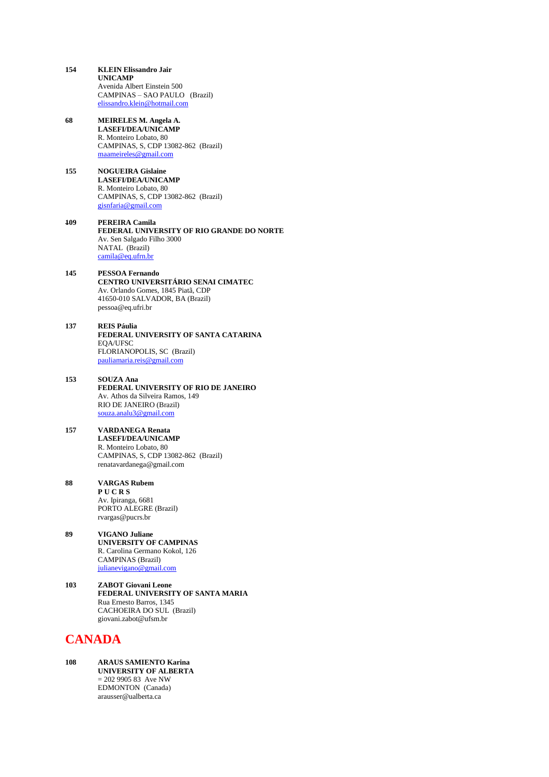- **154 KLEIN Elissandro Jair UNICAMP** Avenida Albert Einstein 500 CAMPINAS – SAO PAULO (Brazil) [elissandro.klein@hotmail.com](mailto:elissandro.klein@hotmail.com)
- **68 MEIRELES M. Angela A. LASEFI/DEA/UNICAMP** R. Monteiro Lobato, 80 CAMPINAS, S, CDP 13082-862 (Brazil) [maameireles@gmail.com](mailto:maameireles@gmail.com)
- **155 NOGUEIRA Gislaine LASEFI/DEA/UNICAMP** R. Monteiro Lobato, 80 CAMPINAS, S, CDP 13082-862 (Brazil) [gisnfaria@gmail.com](mailto:gisnfaria@gmail.com)
- **109 PEREIRA Camila FEDERAL UNIVERSITY OF RIO GRANDE DO NORTE** Av. Sen Salgado Filho 3000 NATAL (Brazil) [camila@eq.ufrn.br](mailto:camila@eq.ufrn.br)
- **145 PESSOA Fernando CENTRO UNIVERSITÁRIO SENAI CIMATEC** Av. Orlando Gomes, 1845 Piatã, CDP 41650-010 SALVADOR, BA (Brazil) pessoa@eq.ufri.br
- **137 REIS Páulia FEDERAL UNIVERSITY OF SANTA CATARINA** EQA/UFSC FLORIANOPOLIS, SC (Brazil) [pauliamaria.reis@gmail.com](mailto:pauliamaria.reis@gmail.com)
- **153 SOUZA Ana FEDERAL UNIVERSITY OF RIO DE JANEIRO** Av. Athos da Silveira Ramos, 149 RIO DE JANEIRO (Brazil) [souza.analu3@gmail.com](mailto:souza.analu3@gmail.com)
- **157 VARDANEGA Renata LASEFI/DEA/UNICAMP** R. Monteiro Lobato, 80 CAMPINAS, S, CDP 13082-862 (Brazil) renatavardanega@gmail.com
- **88 VARGAS Rubem P U C R S** Av. Ipiranga, 6681 PORTO ALEGRE (Brazil) rvargas@pucrs.br
- **89 VIGANO Juliane UNIVERSITY OF CAMPINAS** R. Carolina Germano Kokol, 126 CAMPINAS (Brazil) [julianevigano@gmail.com](mailto:julianevigano@gmail.com)
- **103 ZABOT Giovani Leone FEDERAL UNIVERSITY OF SANTA MARIA** Rua Ernesto Barros, 1345 CACHOEIRA DO SUL (Brazil) giovani.zabot@ufsm.br

# **CANADA**

**108 ARAUS SAMIENTO Karina UNIVERSITY OF ALBERTA**  $= 202990583$  Ave NW EDMONTON (Canada) arausser@ualberta.ca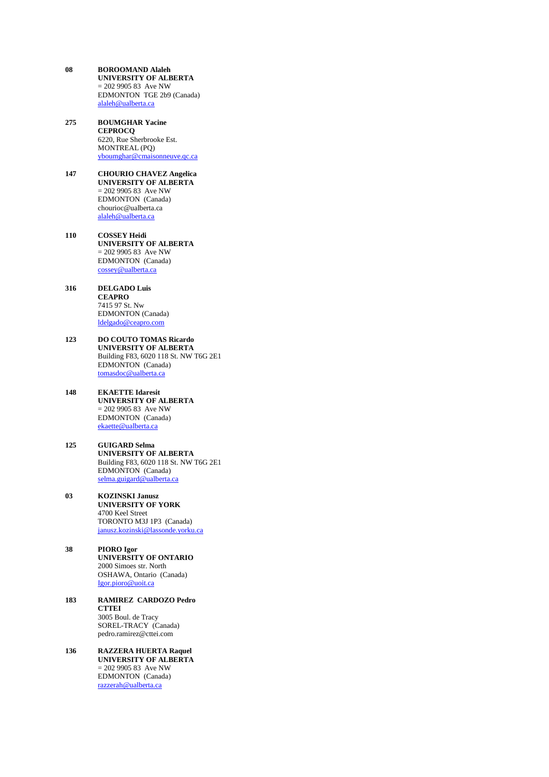- **08 BOROOMAND Alaleh UNIVERSITY OF ALBERTA**  $= 202990583$  Ave NW EDMONTON TGE 2b9 (Canada) [alaleh@ualberta.ca](mailto:alaleh@ualberta.ca)
- **275 BOUMGHAR Yacine CEPROCQ** 6220, Rue Sherbrooke Est. MONTREAL (PQ) [yboumghar@cmaisonneuve.qc.ca](mailto:yboumghar@cmaisonneuve.qc.ca)
- **147 CHOURIO CHAVEZ Angelica UNIVERSITY OF ALBERTA** = 202 9905 83 Ave NW EDMONTON (Canada) chourioc@ualberta.ca [alaleh@ualberta.ca](mailto:alaleh@ualberta.ca)
- **110 COSSEY Heidi UNIVERSITY OF ALBERTA**  $= 202990583$  Ave NW EDMONTON (Canada) [cossey@ualberta.ca](mailto:cossey@ualberta.ca)
- **316 DELGADO Luis CEAPRO** 7415 97 St. Nw EDMONTON (Canada) [ldelgado@ceapro.com](mailto:ldelgado@ceapro.com)
- **123 DO COUTO TOMAS Ricardo UNIVERSITY OF ALBERTA** Building F83, 6020 118 St. NW T6G 2E1 EDMONTON (Canada) [tomasdoc@ualberta.ca](mailto:tomasdoc@ualberta.ca)
- **148 EKAETTE Idaresit UNIVERSITY OF ALBERTA**  $= 202 9905 83$  Ave NW EDMONTON (Canada) [ekaette@ualberta.ca](mailto:ekaette@ualberta.ca)
- **125 GUIGARD Selma UNIVERSITY OF ALBERTA** Building F83, 6020 118 St. NW T6G 2E1 EDMONTON (Canada) [selma.guigard@ualberta.ca](mailto:selma.guigard@ualberta.ca)
- **03 KOZINSKI Janusz UNIVERSITY OF YORK** 4700 Keel Street TORONTO M3J 1P3 (Canada) [janusz.kozinski@lassonde.yorku.ca](mailto:janusz.kozinski@lassonde.yorku.ca)
- **38 PIORO Igor UNIVERSITY OF ONTARIO** 2000 Simoes str. North OSHAWA, Ontario (Canada) [Igor.pioro@uoit.ca](mailto:Igor.pioro@uoit.ca)
- **183 RAMIREZ CARDOZO Pedro CTTEI** 3005 Boul. de Tracy SOREL-TRACY (Canada) pedro.ramirez@cttei.com
- **136 RAZZERA HUERTA Raquel UNIVERSITY OF ALBERTA** = 202 9905 83 Ave NW EDMONTON (Canada) [razzerah@ualberta.ca](mailto:razzerah@ualberta.ca)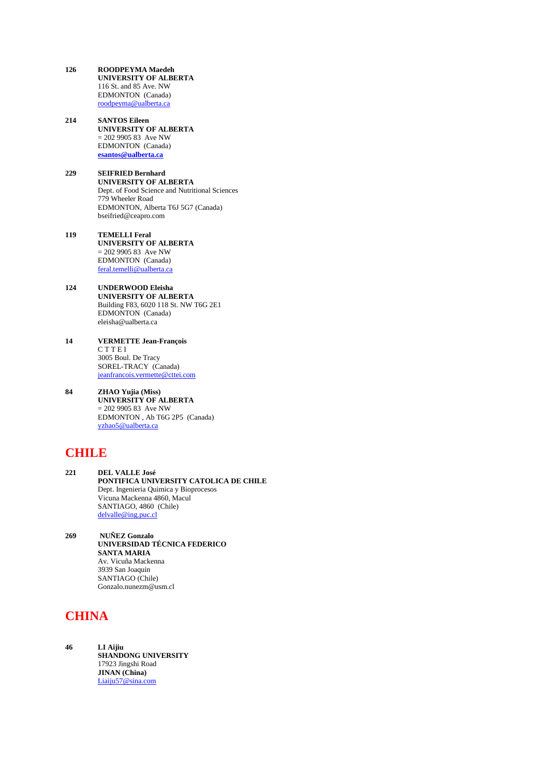- **126 ROODPEYMA Maedeh UNIVERSITY OF ALBERTA** 116 St. and 85 Ave. NW EDMONTON (Canada) [roodpeyma@ualberta.ca](mailto:roodpeyma@ualberta.ca)
- **214 SANTOS Eileen UNIVERSITY OF ALBERTA**  $= 202990583$  Ave NW EDMONTON (Canada) **[esantos@ualberta.ca](mailto:esantos@ualberta.ca)**
- **229 SEIFRIED Bernhard UNIVERSITY OF ALBERTA** Dept. of Food Science and Nutritional Sciences 779 Wheeler Road EDMONTON, Alberta T6J 5G7 (Canada) bseifried@ceapro.com
- **119 TEMELLI Feral UNIVERSITY OF ALBERTA** = 202 9905 83 Ave NW EDMONTON (Canada) [feral.temelli@ualberta.ca](mailto:feral.temelli@ualberta.ca)
- **124 UNDERWOOD Eleisha UNIVERSITY OF ALBERTA** Building F83, 6020 118 St. NW T6G 2E1 EDMONTON (Canada) eleisha@ualberta.ca
- **14 VERMETTE Jean-François** C T T E I 3005 Boul. De Tracy SOREL-TRACY (Canada) [jeanfrancois.vermette@cttei.com](mailto:jeanfrancois.vermette@cttei.com)
- **84 ZHAO Yujia (Miss) UNIVERSITY OF ALBERTA**  $= 202990583$  Ave NW EDMONTON , Ab T6G 2P5 (Canada) [yzhao5@ualberta.ca](mailto:yzhao5@ualberta.ca)

# **CHILE**

- **221 DEL VALLE José PONTIFICA UNIVERSITY CATOLICA DE CHILE** Dept. Ingenieria Quimica y Bioprocesos Vicuna Mackenna 4860, Macul SANTIAGO, 4860 (Chile) [delvalle@ing.puc.cl](mailto:delvalle@ing.puc.cl)
- **269 NUÑEZ Gonzalo UNIVERSIDAD TÉCNICA FEDERICO SANTA MARIA** Av. Vicuña Mackenna 3939 San Joaquin SANTIAGO (Chile) Gonzalo.nunezm@usm.cl

# **CHINA**

**46 LI Aijiu SHANDONG UNIVERSITY** 17923 Jingshi Road **JINAN (China)** [Liaiju57@sina.com](mailto:Liaiju57@sina.com)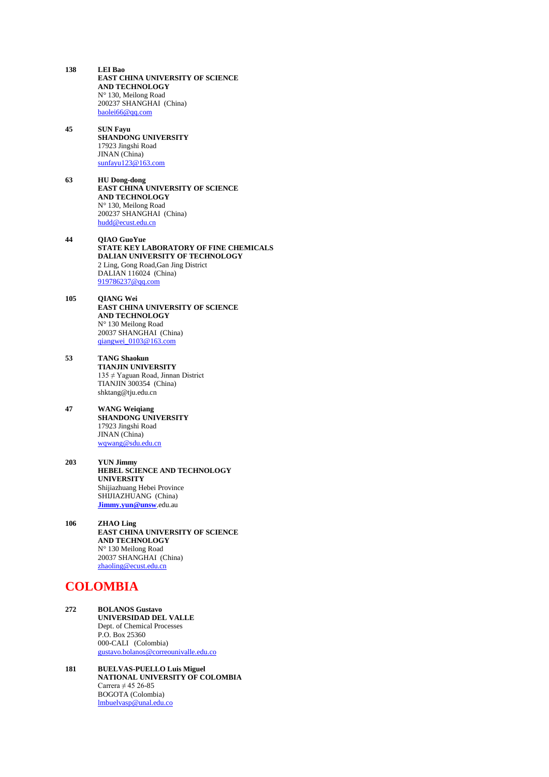- **138 LEI Bao EAST CHINA UNIVERSITY OF SCIENCE AND TECHNOLOGY** N° 130, Meilong Road 200237 SHANGHAI (China) [baolei66@qq.com](mailto:baolei66@qq.com)
- **45 SUN Fayu SHANDONG UNIVERSITY** 17923 Jingshi Road JINAN (China) [sunfayu123@163.com](mailto:sunfayu123@163.com)
- **63 HU Dong-dong EAST CHINA UNIVERSITY OF SCIENCE AND TECHNOLOGY** N° 130, Meilong Road 200237 SHANGHAI (China) [hudd@ecust.edu.cn](mailto:hudd@ecust.edu.cn)
- **44 QIAO GuoYue STATE KEY LABORATORY OF FINE CHEMICALS DALIAN UNIVERSITY OF TECHNOLOGY** 2 Ling, Gong Road,Gan Jing District DALIAN 116024 (China) [919786237@qq.com](mailto:919786237@qq.com)
- **105 QIANG Wei EAST CHINA UNIVERSITY OF SCIENCE AND TECHNOLOGY** N° 130 Meilong Road 20037 SHANGHAI (China) [qiangwei\\_0103@163.com](mailto:qiangwei_0103@163.com)
- **53 TANG Shaokun TIANJIN UNIVERSITY** 135 ≠ Yaguan Road, Jinnan District TIANJIN 300354 (China) shktang@tju.edu.cn
- **47 WANG Weiqiang SHANDONG UNIVERSITY** 17923 Jingshi Road JINAN (China) [wqwang@sdu.edu.cn](mailto:wqwang@sdu.edu.cn)
- **203 YUN Jimmy HEBEL SCIENCE AND TECHNOLOGY UNIVERSITY** Shijiazhuang Hebei Province SHIJIAZHUANG (China) **[Jimmy.yun@unsw](mailto:Jimmy.yun@unsw)**.edu.au
- **106 ZHAO Ling EAST CHINA UNIVERSITY OF SCIENCE AND TECHNOLOGY** N° 130 Meilong Road 20037 SHANGHAI (China) [zhaoling@ecust.edu.cn](mailto:zhaoling@ecust.edu.cn)

## **COLOMBIA**

- **272 BOLANOS Gustavo UNIVERSIDAD DEL VALLE** Dept. of Chemical Processes P.O. Box 25360 000-CALI (Colombia) [gustavo.bolanos@correounivalle.edu.co](mailto:gustavo.bolanos@correounivalle.edu.co)
- **181 BUELVAS-PUELLO Luis Miguel NATIONAL UNIVERSITY OF COLOMBIA** Carrera  $\neq$  45 26-85 BOGOTA (Colombia) [lmbuelvasp@unal.edu.co](mailto:lmbuelvasp@unal.edu.co)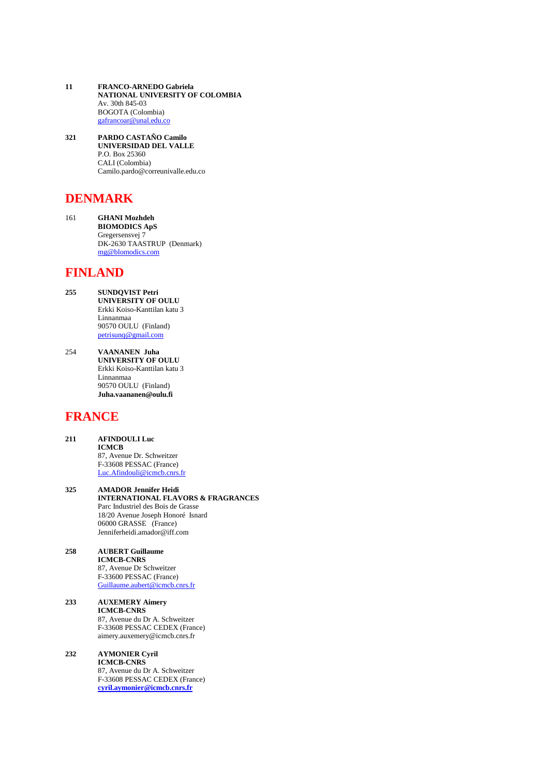- **11 FRANCO-ARNEDO Gabriela NATIONAL UNIVERSITY OF COLOMBIA** Av. 30th 845-03 BOGOTA (Colombia) [gafrancoar@unal.edu.co](mailto:gafrancoar@unal.edu.co)
- **321 PARDO CASTAÑO Camilo UNIVERSIDAD DEL VALLE** P.O. Box 25360 CALI (Colombia) Camilo.pardo@correunivalle.edu.co

# **DENMARK**

161 **GHANI Mozhdeh BIOMODICS ApS** Gregersensvej 7 DK-2630 TAASTRUP (Denmark) [mg@blomodics.com](mailto:mg@blomodics.com)

### **FINLAND**

- **255 SUNDQVIST Petri UNIVERSITY OF OULU** Erkki Koiso-Kanttilan katu 3 Linnanmaa 90570 OULU (Finland) [petrisunq@gmail.com](mailto:petrisunq@gmail.com)
- 254 **VAANANEN Juha UNIVERSITY OF OULU** Erkki Koiso-Kanttilan katu 3 Linnanmaa 90570 OULU (Finland) **Juha.vaananen@oulu.fi**

## **FRANCE**

- **211 AFINDOULI Luc ICMCB** 87, Avenue Dr. Schweitzer F-33608 PESSAC (France) [Luc.Afindouli@icmcb.cnrs.fr](mailto:Luc.Afindouli@icmcb.cnrs.fr)
- **325 AMADOR Jennifer Heidi INTERNATIONAL FLAVORS & FRAGRANCES** Parc Industriel des Bois de Grasse 18/20 Avenue Joseph Honoré Isnard 06000 GRASSE (France) Jenniferheidi.amador@iff.com
- **258 AUBERT Guillaume ICMCB-CNRS**  87, Avenue Dr Schweitzer F-33600 PESSAC (France) [Guillaume.aubert@icmcb.cnrs.fr](mailto:Guillaume.aubrrt@icmcb.cnrs.fr)
- **233 AUXEMERY Aimery ICMCB-CNRS** 87, Avenue du Dr A. Schweitzer F-33608 PESSAC CEDEX (France) aimery.auxemery@icmcb.cnrs.fr

#### **232 AYMONIER Cyril**

**ICMCB-CNRS** 87, Avenue du Dr A. Schweitzer F-33608 PESSAC CEDEX (France) **[cyril.aymonier@icmcb.cnrs.fr](mailto:cyril.aymonier@icmcb.cnrs.fr)**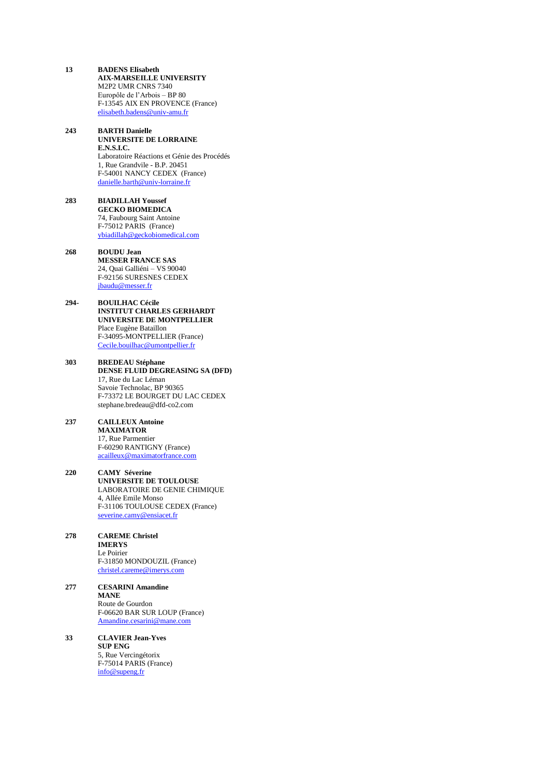- **13 BADENS Elisabeth AIX-MARSEILLE UNIVERSITY** M2P2 UMR CNRS 7340 Europôle de l'Arbois – BP 80 F-13545 AIX EN PROVENCE (France) [elisabeth.badens@univ-amu.fr](mailto:elisabeth.badens@univ-amu.fr)
- **243 BARTH Danielle UNIVERSITE DE LORRAINE E.N.S.I.C.**  Laboratoire Réactions et Génie des Procédés 1, Rue Grandvile - B.P. 20451 F-54001 NANCY CEDEX (France) [danielle.barth@univ-lorraine.fr](mailto:danielle.barth@univ-lorraine.fr)
- **283 BIADILLAH Youssef GECKO BIOMEDICA** 74, Faubourg Saint Antoine F-75012 PARIS (France) [ybiadillah@geckobiomedical.com](mailto:ybiadillah@geckobiomedical.com)
- **268 BOUDU Jean MESSER FRANCE SAS** 24, Quai Galliéni – VS 90040 F-92156 SURESNES CEDEX [jbaudu@messer.fr](mailto:jbaudu@messer.fr)
- **294- BOUILHAC Cécile INSTITUT CHARLES GERHARDT UNIVERSITE DE MONTPELLIER** Place Eugène Bataillon F-34095-MONTPELLIER (France) [Cecile.bouilhac@umontpellier.fr](mailto:Cecile.bouilhac@umontpellier.fr)
- **303 BREDEAU Stéphane DENSE FLUID DEGREASING SA (DFD)** 17, Rue du Lac Léman Savoie Technolac, BP 90365 F-73372 LE BOURGET DU LAC CEDEX stephane.bredeau@dfd-co2.com
- **237 CAILLEUX Antoine MAXIMATOR** 17, Rue Parmentier F-60290 RANTIGNY (France) [acailleux@maximatorfrance.com](mailto:acailleux@maximatorfrance.com)
- **220 CAMY Séverine UNIVERSITE DE TOULOUSE** LABORATOIRE DE GENIE CHIMIQUE 4, Allée Emile Monso F-31106 TOULOUSE CEDEX (France) [severine.camy@ensiacet.fr](mailto:severine.camy@ensiacet.fr)
- **278 CAREME Christel IMERYS** Le Poirier F-31850 MONDOUZIL (France) [christel.careme@imerys.com](mailto:christel.careme@imerys.com)
- **277 CESARINI Amandine MANE** Route de Gourdon F-06620 BAR SUR LOUP (France) [Amandine.cesarini@mane.com](mailto:Amandine.cesarini@mane.com)
- **33 CLAVIER Jean-Yves SUP ENG** 5, Rue Vercingétorix F-75014 PARIS (France) [info@supeng.fr](mailto:info@supeng.fr)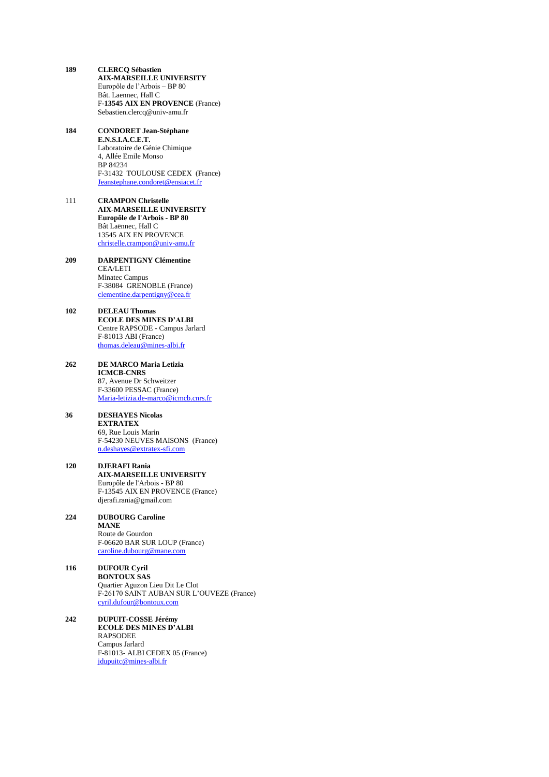- **189 CLERCQ Sébastien AIX-MARSEILLE UNIVERSITY** Europôle de l'Arbois – BP 80 Bât. Laennec, Hall C F-**13545 AIX EN PROVENCE** (France) Sebastien.clercq@univ-amu.fr
- **184 CONDORET Jean-Stéphane E.N.S.I.A.C.E.T.** Laboratoire de Génie Chimique 4, Allée Emile Monso BP 84234 F-31432 TOULOUSE CEDEX (France) [Jeanstephane.condoret@ensiacet.fr](mailto:Jeanstephane.condoret@ensiacet.fr)
- 111 **CRAMPON Christelle AIX-MARSEILLE UNIVERSITY Europôle de l'Arbois - BP 80** Bât Laënnec, Hall C 13545 AIX EN PROVENCE [christelle.crampon@univ-amu.fr](mailto:christelle.crampon@univ-amu.fr)
- **209 DARPENTIGNY Clémentine** CEA/LETI Minatec Campus F-38084 GRENOBLE (France) [clementine.darpentigny@cea.fr](mailto:clementine.darpentigny@cea.fr)
- **102 DELEAU Thomas ECOLE DES MINES D'ALBI** Centre RAPSODE - Campus Jarlard F-81013 ABI (France) [thomas.deleau@mines-albi.fr](mailto:thomas.deleau@mines-albi.fr)
- **262 DE MARCO Maria Letizia ICMCB-CNRS** 87, Avenue Dr Schweitzer F-33600 PESSAC (France) [Maria-letizia.de-marco@icmcb.cnrs.fr](mailto:Maria-letizia.de-marco@icmcb.cnrs.fr)

#### **36 DESHAYES Nicolas EXTRATEX** 69, Rue Louis Marin

F-54230 NEUVES MAISONS (France) [n.deshayes@extratex-sfi.com](mailto:n.deshayes@extratex-sfi.com)

- **120 DJERAFI Rania AIX-MARSEILLE UNIVERSITY** Europôle de l'Arbois - BP 80 F-13545 AIX EN PROVENCE (France) djerafi.rania@gmail.com
- **224 DUBOURG Caroline MANE** Route de Gourdon F-06620 BAR SUR LOUP (France) [caroline.dubourg@mane.com](mailto:caroline.dubourg@mane.com)
- **116 DUFOUR Cyril BONTOUX SAS** Quartier Aguzon Lieu Dit Le Clot F-26170 SAINT AUBAN SUR L'OUVEZE (France) [cyril.dufour@bontoux.com](mailto:cyril.dufour@bontoux.com)
- **242 DUPUIT-COSSE Jérémy ECOLE DES MINES D'ALBI** RAPSODEE Campus Jarlard F-81013- ALBI CEDEX 05 (France) [jdupuitc@mines-albi.fr](mailto:jdupuitc@mines-albi.fr)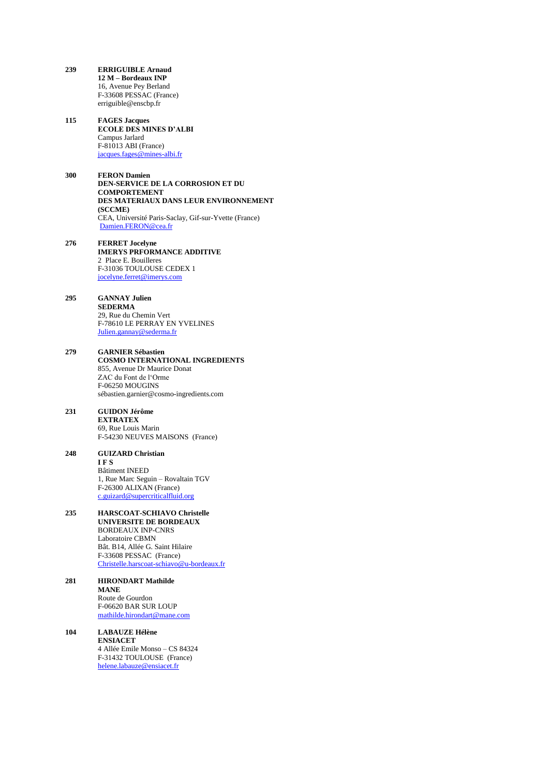- **239 ERRIGUIBLE Arnaud 12 M – Bordeaux INP** 16, Avenue Pey Berland F-33608 PESSAC (France) erriguible@enscbp.fr
- **115 FAGES Jacques ECOLE DES MINES D'ALBI** Campus Jarlard F-81013 ABI (France) [jacques.fages@mines-albi.fr](mailto:jacques.fages@mines-albi.fr)
- **300 FERON Damien DEN-SERVICE DE LA CORROSION ET DU COMPORTEMENT DES MATERIAUX DANS LEUR ENVIRONNEMENT (SCCME)** CEA, Université Paris-Saclay, Gif-sur-Yvette (France) [Damien.FERON@cea.fr](mailto:Damien.FERON@cea.fr)
- **276 FERRET Jocelyne IMERYS PRFORMANCE ADDITIVE** 2 Place E. Bouilleres F-31036 TOULOUSE CEDEX 1 [jocelyne.ferret@imerys.com](mailto:jocelyne.ferret@imerys.com)
- **295 GANNAY Julien SEDERMA** 29, Rue du Chemin Vert F-78610 LE PERRAY EN YVELINES [Julien.gannay@sederma.fr](mailto:Julien.gannay@sederma.fr)
- **279 GARNIER Sébastien COSMO INTERNATIONAL INGREDIENTS** 855, Avenue Dr Maurice Donat ZAC du Font de l'Orme F-06250 MOUGINS sébastien.garnier@cosmo-ingredients.com
- **231 GUIDON Jérôme EXTRATEX** 69, Rue Louis Marin F-54230 NEUVES MAISONS (France)
- **248 GUIZARD Christian I F S** Bâtiment INEED 1, Rue Marc Seguin – Rovaltain TGV F-26300 ALIXAN (France) [c.guizard@supercriticalfluid.org](mailto:c.guizard@supercriticalfluid.org)
- **235 HARSCOAT-SCHIAVO Christelle UNIVERSITE DE BORDEAUX**  BORDEAUX INP-CNRS Laboratoire CBMN Bât. B14, Allée G. Saint Hilaire F-33608 PESSAC (France) [Christelle.harscoat-schiavo@u-bordeaux.fr](mailto:Christelle.harscoat-schiavo@u-bordeaux.fr)
- **281 HIRONDART Mathilde MANE** Route de Gourdon F-06620 BAR SUR LOUP [mathilde.hirondart@mane.com](mailto:mathilde.hirondart@mane.com)
- **104 LABAUZE Hélène ENSIACET** 4 Allée Emile Monso – CS 84324 F-31432 TOULOUSE (France) [helene.labauze@ensiacet.fr](mailto:helene.labauze@ensiacet.fr)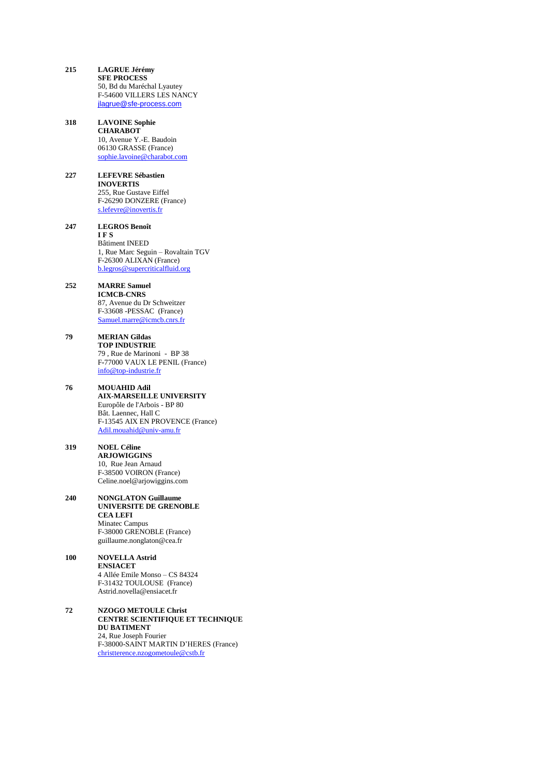- **215 LAGRUE Jérémy SFE PROCESS** 50, Bd du Maréchal Lyautey F-54600 VILLERS LES NANCY [jlagrue@sfe-process.com](mailto:jlagrue@sfe-process.com)
- **318 LAVOINE Sophie CHARABOT** 10, Avenue Y.-E. Baudoin 06130 GRASSE (France) [sophie.lavoine@charabot.com](mailto:sophie.lavoine@charabot.com)
- **227 LEFEVRE Sébastien INOVERTIS** 255, Rue Gustave Eiffel F-26290 DONZERE (France) [s.lefevre@inovertis.fr](mailto:s.lefevre@inovertis.fr)
- **247 LEGROS Benoît I F S** Bâtiment INEED 1, Rue Marc Seguin – Rovaltain TGV F-26300 ALIXAN (France) [b.legros@supercriticalfluid.org](mailto:b.legros@supercriticalfluid.org)
- **252 MARRE Samuel ICMCB-CNRS** 87, Avenue du Dr Schweitzer F-33608 -PESSAC (France) [Samuel.marre@icmcb.cnrs.fr](mailto:Samuel.marre@icmcb.cnrs.fr)
- **79 MERIAN Gildas TOP INDUSTRIE** 79 , Rue de Marinoni - BP 38 F**-**77000 VAUX LE PENIL (France) [info@top-industrie.fr](mailto:info@top-industrie.fr)
- **76 MOUAHID Adil AIX-MARSEILLE UNIVERSITY** Europôle de l'Arbois - BP 80 Bât. Laennec, Hall C F-13545 AIX EN PROVENCE (France) [Adil.mouahid@univ-amu.fr](mailto:Adil.mouahid@univ-amu.fr)
- **319 NOEL Céline ARJOWIGGINS** 10, Rue Jean Arnaud F-38500 VOIRON (France) Celine.noel@arjowiggins.com
- **240 NONGLATON Guillaume UNIVERSITE DE GRENOBLE CEA LEFI**  Minatec Campus F-38000 GRENOBLE (France) guillaume.nonglaton@cea.fr
- **100 NOVELLA Astrid ENSIACET** 4 Allée Emile Monso – CS 84324 F-31432 TOULOUSE (France) Astrid.novella@ensiacet.fr
- **72 NZOGO METOULE Christ CENTRE SCIENTIFIQUE ET TECHNIQUE DU BATIMENT** 24, Rue Joseph Fourier F-38000-SAINT MARTIN D'HERES (France) [christterence.nzogometoule@cstb.fr](mailto:christterence.nzogometoule@cstb.fr)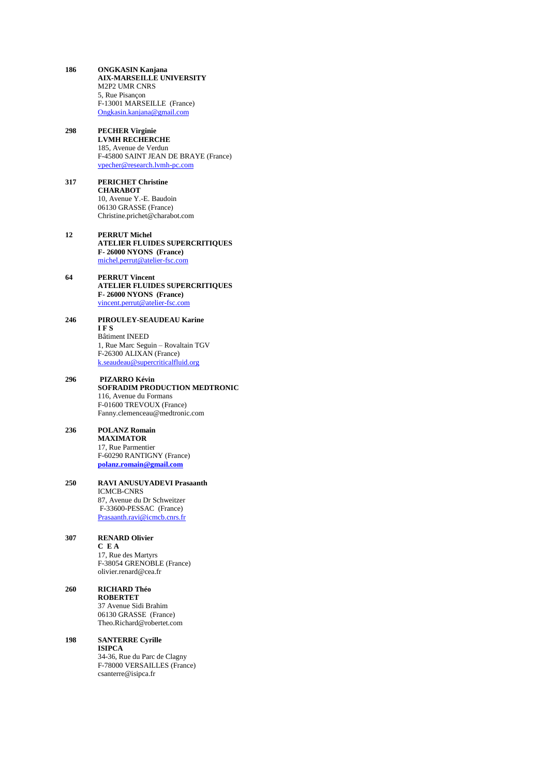- **186 ONGKASIN Kanjana AIX-MARSEILLE UNIVERSITY** M2P2 UMR CNRS 5, Rue Pisançon F-13001 MARSEILLE (France) [Ongkasin.kanjana@gmail.com](mailto:Ongkasin.kanjana@gmail.com)
- **298 PECHER Virginie LVMH RECHERCHE** 185, Avenue de Verdun F-45800 SAINT JEAN DE BRAYE (France) [vpecher@research.lvmh-pc.com](mailto:vpecher@research.lvmh-pc.com)
- **317 PERICHET Christine CHARABOT** 10, Avenue Y.-E. Baudoin 06130 GRASSE (France) Christine.prichet@charabot.com
- **12 PERRUT Michel ATELIER FLUIDES SUPERCRITIQUES F- 26000 NYONS (France)** [michel.perrut@atelier-fsc.com](mailto:michel.perrut@atelier-fsc.com)
- **64 PERRUT Vincent ATELIER FLUIDES SUPERCRITIQUES F- 26000 NYONS (France)** [vincent.perrut@atelier-fsc.com](mailto:vincent.perrut@atelier-fsc.com)
- **246 PIROULEY-SEAUDEAU Karine I F S** Bâtiment INEED 1, Rue Marc Seguin – Rovaltain TGV F-26300 ALIXAN (France) [k.seaudeau@supercriticalfluid.org](mailto:k.seaudeau@supercriticalfluid.org)
- **296 PIZARRO Kévin SOFRADIM PRODUCTION MEDTRONIC** 116, Avenue du Formans F-01600 TREVOUX (France) Fanny.clemenceau@medtronic.com
- **236 POLANZ Romain MAXIMATOR** 17, Rue Parmentier F-60290 RANTIGNY (France) **[polanz.romain@gmail.com](mailto:polanz.romain@gmail.com)**
- **250 RAVI ANUSUYADEVI Prasaanth** ICMCB-CNRS 87, Avenue du Dr Schweitzer F-33600-PESSAC (France) [Prasaanth.ravi@icmcb.cnrs.fr](mailto:Prasaanth.ravi@icmcb.cnrs.fr)
- **307 RENARD Olivier C E A** 17, Rue des Martyrs F-38054 GRENOBLE (France) olivier.renard@cea.fr
- **260 RICHARD Théo ROBERTET** 37 Avenue Sidi Brahim 06130 GRASSE (France) Theo.Richard@robertet.com
- **198 SANTERRE Cyrille ISIPCA** 34-36, Rue du Parc de Clagny F-78000 VERSAILLES (France) csanterre@isipca.fr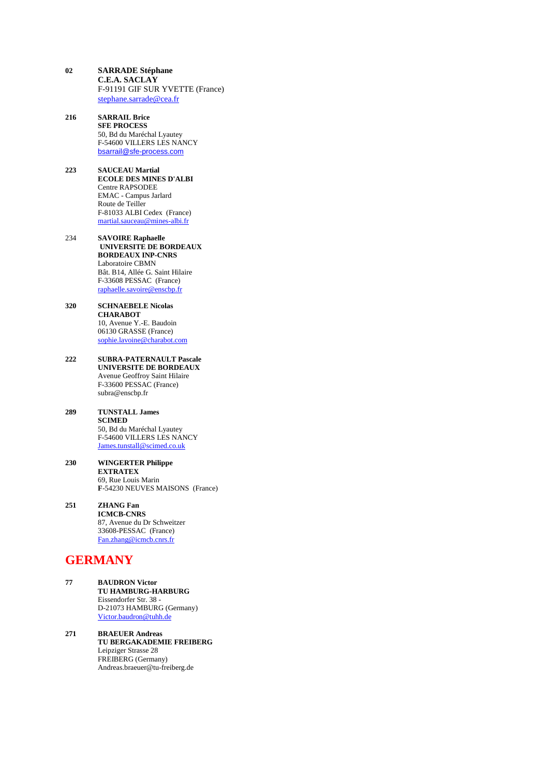- **02 SARRADE Stéphane C.E.A. SACLAY** F-91191 GIF SUR YVETTE (France) [stephane.sarrade@cea.fr](mailto:stephane.sarrade@cea.fr)
- **216 SARRAIL Brice SFE PROCESS** 50, Bd du Maréchal Lyautey F-54600 VILLERS LES NANCY [bsarrail@sfe-process.com](mailto:bsarrail@sfe-process.com)
- **223 SAUCEAU Martial ECOLE DES MINES D'ALBI** Centre RAPSODEE EMAC - Campus Jarlard Route de Teiller F-81033 ALBI Cedex (France) [martial.sauceau@mines-albi.fr](mailto:martial.sauceau@mines-albi.fr)
- 234 **SAVOIRE Raphaelle UNIVERSITE DE BORDEAUX BORDEAUX INP-CNRS**  Laboratoire CBMN Bât. B14, Allée G. Saint Hilaire F-33608 PESSAC (France) [raphaelle.savoire@enscbp.fr](mailto:raphaelle.savoire@enscbp.fr)
- **320 SCHNAEBELE Nicolas CHARABOT** 10, Avenue Y.-E. Baudoin 06130 GRASSE (France) [sophie.lavoine@charabot.com](mailto:sophie.lavoine@charabot.com)
- **222 SUBRA-PATERNAULT Pascale UNIVERSITE DE BORDEAUX** Avenue Geoffroy Saint Hilaire F-33600 PESSAC (France) subra@enscbp.fr
- **289 TUNSTALL James SCIMED** 50, Bd du Maréchal Lyautey F-54600 VILLERS LES NANCY [James.tunstall@scimed.co.uk](mailto:James.tunstall@scimed.co.uk)
- **230 WINGERTER Philippe EXTRATEX** 69, Rue Louis Marin **F**-54230 NEUVES MAISONS (France)
- **251 ZHANG Fan ICMCB-CNRS** 87, Avenue du Dr Schweitzer 33608-PESSAC (France) [Fan.zhang@icmcb.cnrs.fr](mailto:Fan.zhang@icmcb.cnrs.fr)

## **GERMANY**

- **77 BAUDRON Victor TU HAMBURG-HARBURG** Eissendorfer Str. 38 - D-21073 HAMBURG (Germany) [Victor.baudron@tuhh.de](mailto:Victor.baudron@tuhh.de)
- **271 BRAEUER Andreas TU BERGAKADEMIE FREIBERG** Leipziger Strasse 28 FREIBERG (Germany) Andreas.braeuer@tu-freiberg.de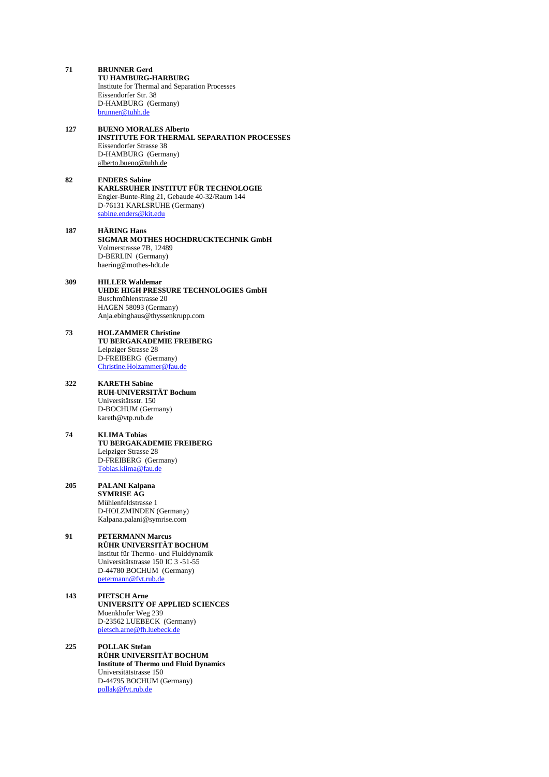- **71 BRUNNER Gerd TU HAMBURG-HARBURG** Institute for Thermal and Separation Processes Eissendorfer Str. 38 D-HAMBURG (Germany) [brunner@tuhh.de](mailto:brunner@tuhh.de)
- **127 BUENO MORALES Alberto INSTITUTE FOR THERMAL SEPARATION PROCESSES** Eissendorfer Strasse 38 D-HAMBURG (Germany) [alberto.bueno@tuhh.de](mailto:alberto.bueno@tuhh.de)
- **82 ENDERS Sabine KARLSRUHER INSTITUT FÜR TECHNOLOGIE** Engler-Bunte-Ring 21, Gebaude 40-32/Raum 144 D-76131 KARLSRUHE (Germany) [sabine.enders@kit.edu](mailto:sabine.enders@kit.edu)
- **187 HÄRING Hans SIGMAR MOTHES HOCHDRUCKTECHNIK GmbH** Volmerstrasse 7B, 12489 D-BERLIN (Germany) haering@mothes-hdt.de
- **309 HILLER Waldemar UHDE HIGH PRESSURE TECHNOLOGIES GmbH** Buschmühlenstrasse 20 HAGEN 58093 (Germany) Anja.ebinghaus@thyssenkrupp.com
- **73 HOLZAMMER Christine TU BERGAKADEMIE FREIBERG** Leipziger Strasse 28 D-FREIBERG (Germany) [Christine.Holzammer@fau.de](mailto:Christine.Holzammer@fau.de)
- **322 KARETH Sabine RUH-UNIVERSITÄT Bochum** Universitätsstr. 150 D-BOCHUM (Germany) kareth@vtp.rub.de
- **74 KLIMA Tobias TU BERGAKADEMIE FREIBERG** Leipziger Strasse 28 D-FREIBERG (Germany) [Tobias.klima@fau.de](mailto:Tobias.klima@fau.de)
- **205 PALANI Kalpana SYMRISE AG** Mühlenfeldstrasse 1 D-HOLZMINDEN (Germany) Kalpana.palani@symrise.com
- **91 PETERMANN Marcus RÜHR UNIVERSITÄT BOCHUM** Institut für Thermo- und Fluiddynamik Universitätstrasse 150 IC 3 -51-55 D-44780 BOCHUM (Germany) [petermann@fvt.rub.de](mailto:petermann@fvt.rub.de)
- **143 PIETSCH Arne UNIVERSITY OF APPLIED SCIENCES** Moenkhofer Weg 239 D-23562 LUEBECK (Germany) [pietsch.arne@fh.luebeck.de](mailto:pietsch.arne@fh.luebeck.de)
- **225 POLLAK Stefan RÜHR UNIVERSITÄT BOCHUM Institute of Thermo und Fluid Dynamics** Universitätstrasse 150 D-44795 BOCHUM (Germany) [pollak@fvt.rub.de](mailto:pollak@fvt.rub.de)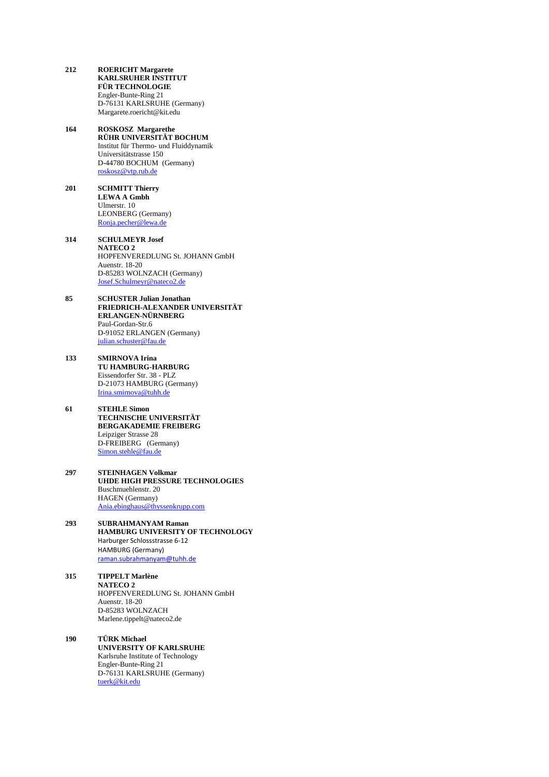- **212 ROERICHT Margarete KARLSRUHER INSTITUT FÜR TECHNOLOGIE** Engler-Bunte-Ring 21 D-76131 KARLSRUHE (Germany) Margarete.roericht@kit.edu
- **164 ROSKOSZ Margarethe RÜHR UNIVERSITÄT BOCHUM** Institut für Thermo- und Fluiddynamik Universitätstrasse 150 D-44780 BOCHUM (Germany) [roskosz@vtp.rub.de](mailto:roskosz@vtp.rub.de)
- **201 SCHMITT Thierry LEWA A Gmbh** Ulmerstr. 10 LEONBERG (Germany) [Ronja.pecher@lewa.de](mailto:Ronja.pecher@lewa.de)
- **314 SCHULMEYR Josef NATECO 2** HOPFENVEREDLUNG St. JOHANN GmbH Auenstr. 18-20 D-85283 WOLNZACH (Germany) [Josef.Schulmeyr@nateco2.de](mailto:Josef.Schulmeyr@nateco2.de)
- **85 SCHUSTER Julian Jonathan FRIEDRICH-ALEXANDER UNIVERSITÄT ERLANGEN-NÜRNBERG** Paul-Gordan-Str.6 D-91052 ERLANGEN (Germany) [julian.schuster@fau.de](mailto:julian.schuster@fau.de)
- **133 SMIRNOVA Irina TU HAMBURG-HARBURG** Eissendorfer Str. 38 - PLZ D-21073 HAMBURG (Germany) [Irina.smirnova@tuhh.de](mailto:Irina.smirnova@tuhh.de)
- **61 STEHLE Simon TECHNISCHE UNIVERSITÄT BERGAKADEMIE FREIBERG** Leipziger Strasse 28 D-FREIBERG (Germany) [Simon.stehle@fau.de](mailto:Simon.stehle@fau.de)
- **297 STEINHAGEN Volkmar UHDE HIGH PRESSURE TECHNOLOGIES** Buschmuehlenstr. 20 HAGEN (Germany) [Ania.ebinghaus@thyssenkrupp.com](mailto:Ania.ebinghaus@thyssenkrupp.com)
- **293 SUBRAHMANYAM Raman HAMBURG UNIVERSITY OF TECHNOLOGY** Harburger Schlossstrasse 6-12 HAMBURG (Germany) [raman.subrahmanyam@tuhh.de](mailto:raman.subrahmanyam@tuhh.de)
- **315 TIPPELT Marlène NATECO 2** HOPFENVEREDLUNG St. JOHANN GmbH Auenstr. 18-20 D-85283 WOLNZACH Marlene.tippelt@nateco2.de
- **190 TÜRK Michael UNIVERSITY OF KARLSRUHE** Karlsruhe Institute of Technology Engler-Bunte-Ring 21 D-76131 KARLSRUHE (Germany) [tuerk@kit.edu](mailto:tuerk@kit.edu)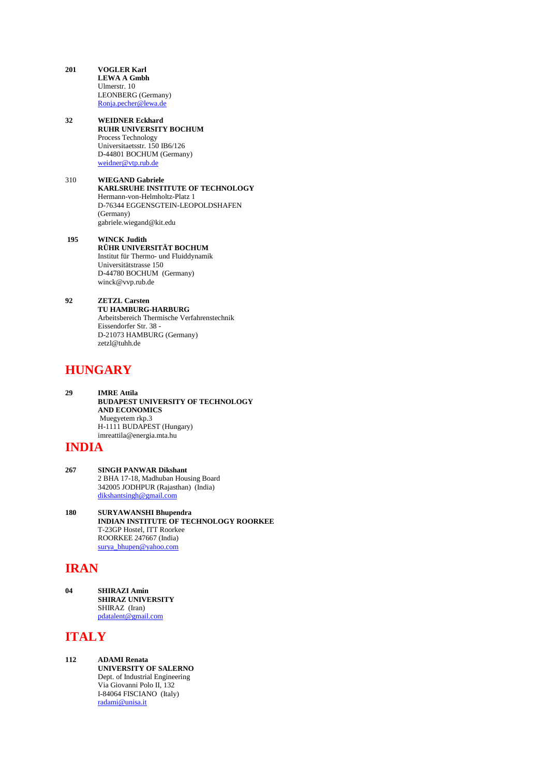- **201 VOGLER Karl LEWA A Gmbh** Ulmerstr. 10 LEONBERG (Germany) [Ronja.pecher@lewa.de](mailto:Ronja.pecher@lewa.de)
- **32 WEIDNER Eckhard RUHR UNIVERSITY BOCHUM** Process Technology Universitaetsstr. 150 IB6/126 D-44801 BOCHUM (Germany) [weidner@vtp.rub.de](mailto:weidner@vtp.rub.de)
- 310 **WIEGAND Gabriele KARLSRUHE INSTITUTE OF TECHNOLOGY** Hermann-von-Helmholtz-Platz 1 D-76344 EGGENSGTEIN-LEOPOLDSHAFEN (Germany) gabriele.wiegand@kit.edu
- **195 WINCK Judith RÜHR UNIVERSITÄT BOCHUM** Institut für Thermo- und Fluiddynamik Universitätstrasse 150 D-44780 BOCHUM (Germany) winck@vvp.rub.de
- **92 ZETZL Carsten TU HAMBURG-HARBURG** Arbeitsbereich Thermische Verfahrenstechnik Eissendorfer Str. 38 - D-21073 HAMBURG (Germany) zetzl@tuhh.de

# **HUNGARY**

**29 IMRE Attila BUDAPEST UNIVERSITY OF TECHNOLOGY AND ECONOMICS** Muegyetem rkp.3 H-1111 BUDAPEST (Hungary) imreattila@energia.mta.hu

#### **INDIA**

- **267 SINGH PANWAR Dikshant** 2 BHA 17-18, Madhuban Housing Board 342005 JODHPUR (Rajasthan) (India) [dikshantsingh@gmail.com](mailto:dikshantsingh@gmail.com)
- **180 SURYAWANSHI Bhupendra INDIAN INSTITUTE OF TECHNOLOGY ROORKEE** T-23GP Hostel, ITT Roorkee ROORKEE 247667 (India) [surya\\_bhupen@yahoo.com](mailto:surya_bhupen@yahoo.com)

# **IRAN**

**04 SHIRAZI Amin SHIRAZ UNIVERSITY** SHIRAZ (Iran) [pdatalent@gmail.com](mailto:pdatalent@gmail.com)

# **ITALY**

**112 ADAMI Renata UNIVERSITY OF SALERNO** Dept. of Industrial Engineering Via Giovanni Polo II, 132 I-84064 FISCIANO (Italy) [radami@unisa.it](mailto:radami@unisa.it)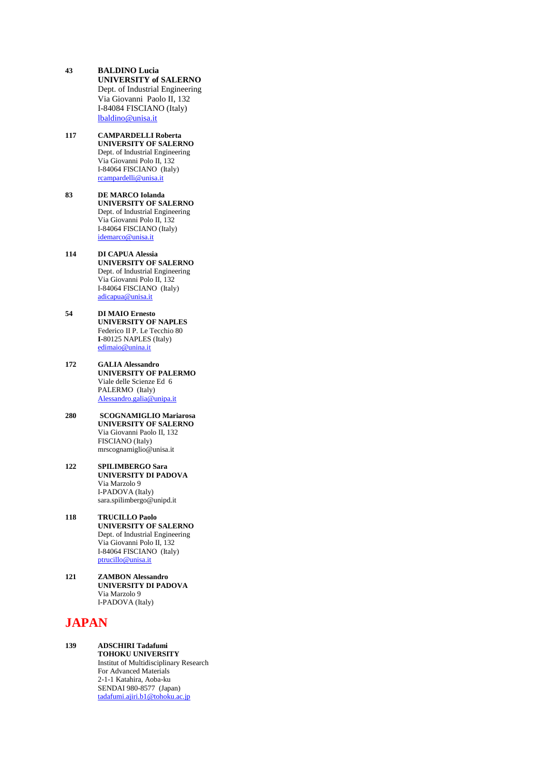- **43 BALDINO Lucia UNIVERSITY of SALERNO** Dept. of Industrial Engineering Via Giovanni Paolo II, 132 I-84084 FISCIANO (Italy) [lbaldino@unisa.it](mailto:lbaldino@unisa.it)
- **117 CAMPARDELLI Roberta UNIVERSITY OF SALERNO** Dept. of Industrial Engineering Via Giovanni Polo II, 132 I-84064 FISCIANO (Italy) [rcampardelli@unisa.it](mailto:rcampardelli@unisa.it)
- **83 DE MARCO Iolanda UNIVERSITY OF SALERNO** Dept. of Industrial Engineering Via Giovanni Polo II, 132 I-84064 FISCIANO (Italy) [idemarco@unisa.it](mailto:idemarco@unisa.it)
- **114 DI CAPUA Alessia UNIVERSITY OF SALERNO** Dept. of Industrial Engineering Via Giovanni Polo II, 132 I-84064 FISCIANO (Italy) [adicapua@unisa.it](mailto:adicapua@unisa.it)
- **54 DI MAIO Ernesto UNIVERSITY OF NAPLES** Federico II P. Le Tecchio 80 **I-**80125 NAPLES (Italy) [edimaio@unina.it](mailto:edimaio@unina.it)
- **172 GALIA Alessandro UNIVERSITY OF PALERMO** Viale delle Scienze Ed 6 PALERMO (Italy) [Alessandro.galia@unipa.it](mailto:Alessandro.galia@unipa.it)
- **280 SCOGNAMIGLIO Mariarosa UNIVERSITY OF SALERNO** Via Giovanni Paolo II, 132 FISCIANO (Italy) mrscognamiglio@unisa.it
- **122 SPILIMBERGO Sara UNIVERSITY DI PADOVA** Via Marzolo 9 I-PADOVA (Italy) sara.spilimbergo@unipd.it
- **118 TRUCILLO Paolo UNIVERSITY OF SALERNO** Dept. of Industrial Engineering Via Giovanni Polo II, 132 I-84064 FISCIANO (Italy) [ptrucillo@unisa.it](mailto:ptrucillo@unisa.it)
- **121 ZAMBON Alessandro UNIVERSITY DI PADOVA** Via Marzolo 9 I-PADOVA (Italy)

# **JAPAN**

**139 ADSCHIRI Tadafumi TOHOKU UNIVERSITY** Institut of Multidisciplinary Research For Advanced Materials 2-1-1 Katahira, Aoba-ku SENDAI 980-8577 (Japan) [tadafumi.ajiri.b1@tohoku.ac.jp](mailto:tadafumi.ajiri.b1@tohoku.ac.jp)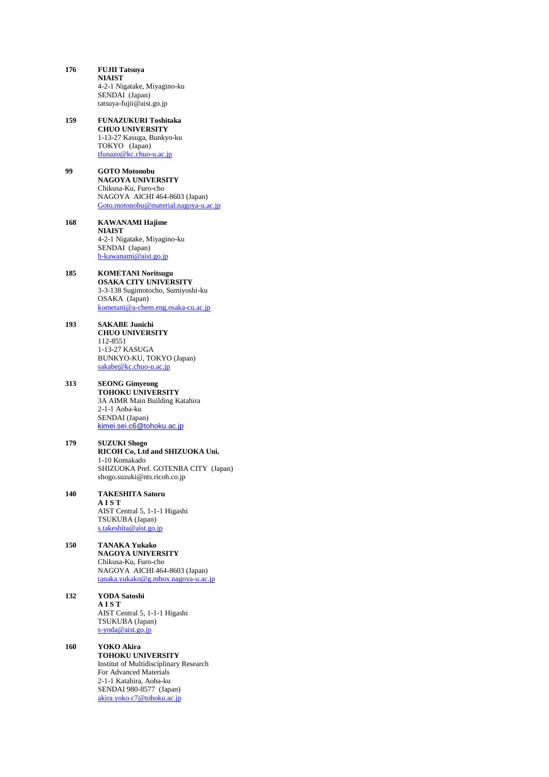- **176 FUJII Tatsuya NIAIST** 4-2-1 Nigatake, Miyagino-ku SENDAI (Japan) tatsuya-fujii@aist.go.jp
- **159 FUNAZUKURI Toshitaka CHUO UNIVERSITY** 1-13-27 Kasuga, Bunkyo-ku TOKYO (Japan) [tfunazo@kc.chuo-u.ac.jp](mailto:tfunazo@kc.chuo-u.ac.jp)
- **99 GOTO Motonobu NAGOYA UNIVERSITY** Chikusa-Ku, Furo-cho NAGOYA AICHI 464-8603 (Japan) [Goto.motonobu@material.nagoya-u.ac.jp](mailto:Goto.motonobu@material.nagoya-u.ac.jp)
- **168 KAWANAMI Hajime NIAIST** 4-2-1 Nigatake, Miyagino-ku SENDAI (Japan) [h-kawanami@aist.go.jp](mailto:h-kawanami@aist.go.jp)
- **185 KOMETANI Noritsugu OSAKA CITY UNIVERSITY** 3-3-138 Sugimotocho, Sumiyoshi-ku OSAKA (Japan) [kometani@a-chem.eng.osaka-cu.ac.jp](mailto:komtani@a-chem.eng.osaka-cu.ac.jp)
- **193 SAKABE Junichi CHUO UNIVERSITY** 112-8551 1-13-27 KASUGA BUNKYO-KU, TOKYO (Japan) [sakabe@kc.chuo-u.ac.jp](mailto:sakabe@kc.chuo-u.ac.jp)
- **313 SEONG Gimyeong TOHOKU UNIVERSITY** 3A AIMR Main Building Katahira 2-1-1 Aoba-ku SENDAI (Japan) [kimei.sei.c6@tohoku.ac.jp](mailto:kimei.sei.c6@tohoku.ac.jp)
- **179 SUZUKI Shogo RICOH Co, Ltd and SHIZUOKA Uni.** 1-10 Komakado SHIZUOKA Pref. GOTENBA CITY (Japan) shogo.suzuki@nts.ricoh.co.jp
- **140 TAKESHITA Satoru A I S T** AIST Central 5, 1-1-1 Higashi TSUKUBA (Japan) [s.takeshita@aist.go.jp](mailto:s.takeshita@aist.go.jp)
- **150 TANAKA Yukako NAGOYA UNIVERSITY** Chikusa-Ku, Furo-cho NAGOYA AICHI 464-8603 (Japan) [tanaka.yukako@g.mbox.nagoya-u.ac.jp](mailto:tanaka.yukako@g.mbox.nagoya-u.ac.jp)
- **132 YODA Satoshi A I S T** AIST Central 5, 1-1-1 Higashi TSUKUBA (Japan) [s-yoda@aist.go.jp](mailto:s-yoda@aist.go.jp)
- **160 YOKO Akira TOHOKU UNIVERSITY** Institut of Multidisciplinary Research For Advanced Materials 2-1-1 Katahira, Aoba-ku SENDAI 980-8577 (Japan) [akira.yoko.c7@tohoku.ac.jp](mailto:akira.yoko.c7@tohoku.ac.jp)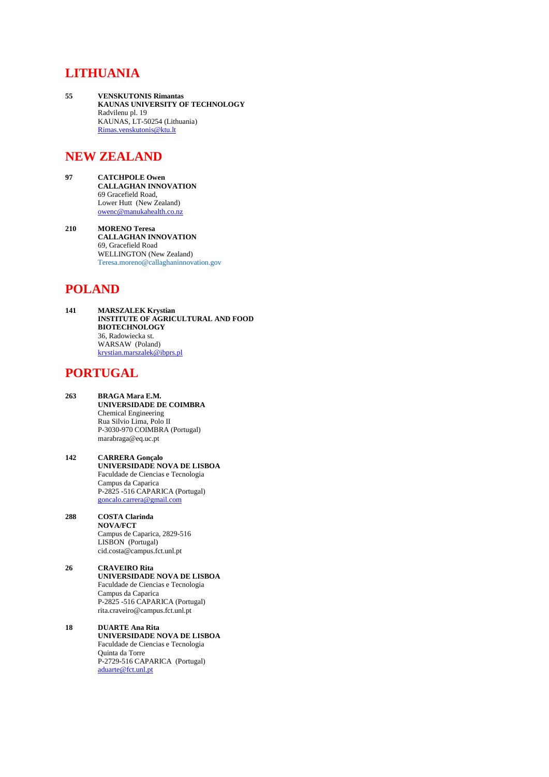## **LITHUANIA**

**55 VENSKUTONIS Rimantas KAUNAS UNIVERSITY OF TECHNOLOGY** Radvilenu pl. 19 KAUNAS, LT-50254 (Lithuania) [Rimas.venskutonis@ktu.lt](mailto:Rimas.venskutonis@ktu.lt)

## **NEW ZEALAND**

- **97 CATCHPOLE Owen CALLAGHAN INNOVATION** 69 Gracefield Road, Lower Hutt (New Zealand) [owenc@manukahealth.co.nz](mailto:owenc@manukahealth.co.nz)
- **210 MORENO Teresa CALLAGHAN INNOVATION** 69, Gracefield Road WELLINGTON (New Zealand) Teresa.moreno@callaghaninnovation.gov

# **POLAND**

**141 MARSZALEK Krystian INSTITUTE OF AGRICULTURAL AND FOOD BIOTECHNOLOGY** 36, Radowiecka st. WARSAW (Poland) [krystian.marszalek@ibprs.pl](mailto:krystian.marszalek@ibprs.pl)

# **PORTUGAL**

- **263 BRAGA Mara E.M. UNIVERSIDADE DE COIMBRA** Chemical Engineering Rua Silvio Lima, Polo II P-3030-970 COIMBRA (Portugal) marabraga@eq.uc.pt
- **142 CARRERA Gonçalo UNIVERSIDADE NOVA DE LISBOA** Faculdade de Ciencias e Tecnologia Campus da Caparica P-2825 -516 CAPARICA (Portugal) [goncalo.carrera@gmail.com](mailto:goncalo.carrera@gmail.com)
- **288 COSTA Clarinda NOVA/FCT** Campus de Caparica, 2829-516 LISBON (Portugal) cid.costa@campus.fct.unl.pt
- **26 CRAVEIRO Rita UNIVERSIDADE NOVA DE LISBOA** Faculdade de Ciencias e Tecnologia Campus da Caparica P-2825 -516 CAPARICA (Portugal) rita.craveiro@campus.fct.unl.pt
- **18 DUARTE Ana Rita UNIVERSIDADE NOVA DE LISBOA** Faculdade de Ciencias e Tecnologia Quinta da Torre P-2729-516 CAPARICA (Portugal) [aduarte@fct.unl.pt](mailto:aduarte@fct.unl.pt)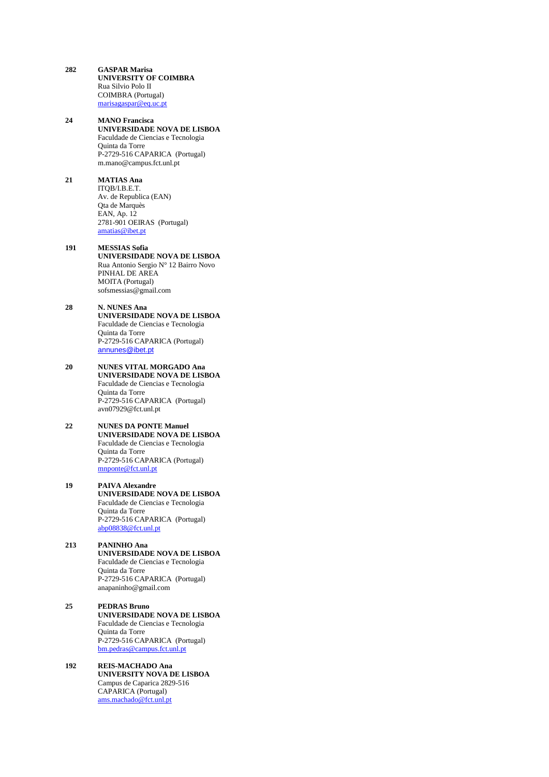- **282 GASPAR Marisa UNIVERSITY OF COIMBRA** Rua Silvio Polo II COIMBRA (Portugal) [marisagaspar@eq.uc.pt](mailto:marisagaspar@eq.uc.pt)
- **24 MANO Francisca UNIVERSIDADE NOVA DE LISBOA** Faculdade de Ciencias e Tecnologia Quinta da Torre P-2729-516 CAPARICA (Portugal) m.mano@campus.fct.unl.pt
- **21 MATIAS Ana** ITQB/I.B.E.T. Av. de Republica (EAN) Qta de Marquès EAN, Ap. 12 2781-901 OEIRAS (Portugal) [amatias@ibet.pt](mailto:amatias@ibet.pt)
- **191 MESSIAS Sofia UNIVERSIDADE NOVA DE LISBOA** Rua Antonio Sergio N° 12 Bairro Novo PINHAL DE AREA MOITA (Portugal) sofsmessias@gmail.com
- **28 N. NUNES Ana UNIVERSIDADE NOVA DE LISBOA** Faculdade de Ciencias e Tecnologia Quinta da Torre P-2729-516 CAPARICA (Portugal) [annunes@ibet.pt](mailto:annunes@ibet.pt)
- **20 NUNES VITAL MORGADO Ana UNIVERSIDADE NOVA DE LISBOA** Faculdade de Ciencias e Tecnologia Quinta da Torre P-2729-516 CAPARICA (Portugal) avn07929@fct.unl.pt
- **22 NUNES DA PONTE Manuel UNIVERSIDADE NOVA DE LISBOA** Faculdade de Ciencias e Tecnologia Quinta da Torre P-2729-516 CAPARICA (Portugal) [mnponte@fct.unl.pt](mailto:mnponte@fct.unl.pt)
- **19 PAIVA Alexandre UNIVERSIDADE NOVA DE LISBOA** Faculdade de Ciencias e Tecnologia Quinta da Torre P-2729-516 CAPARICA (Portugal) [abp08838@fct.unl.pt](mailto:abp08838@fct.unl.pt)
- **213 PANINHO Ana UNIVERSIDADE NOVA DE LISBOA** Faculdade de Ciencias e Tecnologia Quinta da Torre P-2729-516 CAPARICA (Portugal) anapaninho@gmail.com
- **25 PEDRAS Bruno UNIVERSIDADE NOVA DE LISBOA** Faculdade de Ciencias e Tecnologia Quinta da Torre P-2729-516 CAPARICA (Portugal) [bm.pedras@campus.fct.unl.pt](mailto:bm.pedras@campus.fct.unl.pt)
- **192 REIS-MACHADO Ana UNIVERSITY NOVA DE LISBOA** Campus de Caparica 2829-516 CAPARICA (Portugal) [ams.machado@fct.unl.pt](mailto:ams.machado@fct.unl.pt)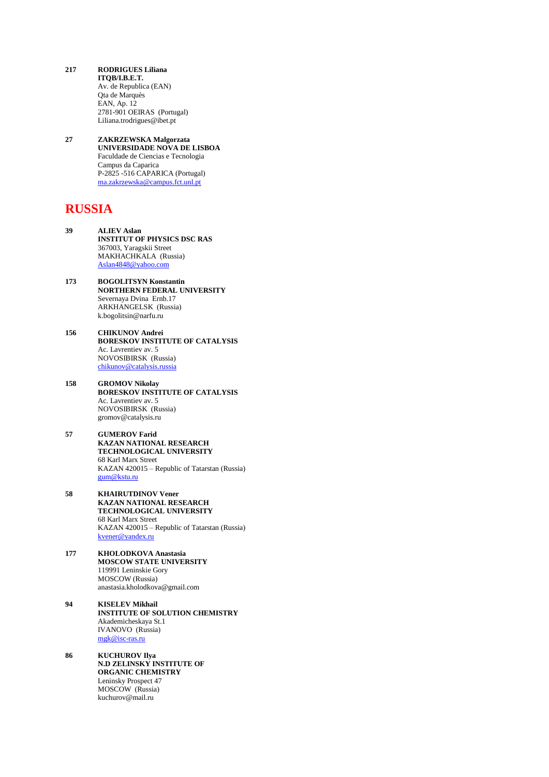- **217 RODRIGUES Liliana ITQB/I.B.E.T.** Av. de Republica (EAN) Qta de Marquès EAN, Ap. 12 2781-901 OEIRAS (Portugal) Liliana.trodrigues@ibet.pt
- **27 ZAKRZEWSKA Malgorzata UNIVERSIDADE NOVA DE LISBOA** Faculdade de Ciencias e Tecnologia Campus da Caparica P-2825 -516 CAPARICA (Portugal) [ma.zakrzewska@campus.fct.unl.pt](mailto:ma.zakrzewska@campus.fct.unl.pt)

## **RUSSIA**

- **39 ALIEV Aslan INSTITUT OF PHYSICS DSC RAS** 367003, Yaragskii Street MAKHACHKALA (Russia) [Aslan4848@yahoo.com](mailto:Aslan4848@yahoo.com)
- **173 BOGOLITSYN Konstantin NORTHERN FEDERAL UNIVERSITY** Severnaya Dvina Ernb.17 ARKHANGELSK (Russia) k.bogolitsin@narfu.ru
- **156 CHIKUNOV Andrei BORESKOV INSTITUTE OF CATALYSIS** Ac. Lavrentiev av. 5 NOVOSIBIRSK (Russia) [chikunov@catalysis.russia](mailto:chikunov@catalysis.russia)
- **158 GROMOV Nikolay BORESKOV INSTITUTE OF CATALYSIS** Ac. Lavrentiev av. 5 NOVOSIBIRSK (Russia) gromov@catalysis.ru
- **57 GUMEROV Farid KAZAN NATIONAL RESEARCH TECHNOLOGICAL UNIVERSITY** 68 Karl Marx Street KAZAN 420015 – Republic of Tatarstan (Russia) [gum@kstu.ru](mailto:gum@kstu.ru)
- **58 KHAIRUTDINOV Vener KAZAN NATIONAL RESEARCH TECHNOLOGICAL UNIVERSITY** 68 Karl Marx Street KAZAN 420015 – Republic of Tatarstan (Russia) [kvener@yandex.ru](mailto:kvener@yandex.ru)
- **177 KHOLODKOVA Anastasia MOSCOW STATE UNIVERSITY** 119991 Leninskie Gory MOSCOW (Russia) anastasia.kholodkova@gmail.com
- **94 KISELEV Mikhail INSTITUTE OF SOLUTION CHEMISTRY** Akademicheskaya St.1 IVANOVO (Russia) [mgk@isc-ras.ru](mailto:mgk@isc-ras.ru)
- **86 KUCHUROV Ilya N.D ZELINSKY INSTITUTE OF ORGANIC CHEMISTRY** Leninsky Prospect 47 MOSCOW (Russia) kuchurov@mail.ru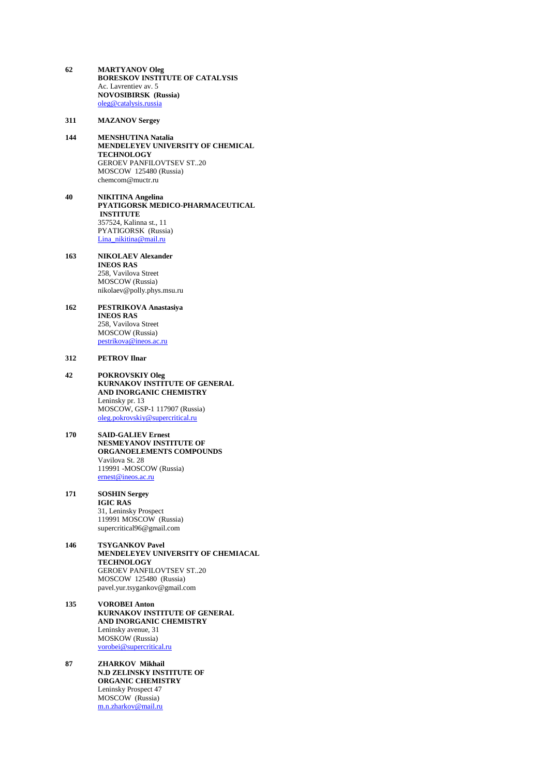**62 MARTYANOV Oleg BORESKOV INSTITUTE OF CATALYSIS** Ac. Lavrentiev av. 5 **NOVOSIBIRSK (Russia)** [oleg@catalysis.russia](mailto:oleg@catalysis.russia)

**311 MAZANOV Sergey**

- **144 MENSHUTINA Natalia MENDELEYEV UNIVERSITY OF CHEMICAL TECHNOLOGY** GEROEV PANFILOVTSEV ST..20 MOSCOW 125480 (Russia) chemcom@muctr.ru
- **40 NIKITINA Angelina** PYATIGORSK MEDICO-PHARMACEUTICAL **INSTITUTE** 357524, Kalinna st., 11 PYATIGORSK (Russia) [Lina\\_nikitina@mail.ru](mailto:Lina_nikitina@mail.ru)
- **163 NIKOLAEV Alexander INEOS RAS** 258, Vavilova Street MOSCOW (Russia) nikolaev@polly.phys.msu.ru
- **162 PESTRIKOVA Anastasiya INEOS RAS** 258, Vavilova Street MOSCOW (Russia) [pestrikova@ineos.ac.ru](mailto:pestrikova@ineos.ac.ru)

#### **312 PETROV Ilnar**

- **42 POKROVSKIY Oleg KURNAKOV INSTITUTE OF GENERAL AND INORGANIC CHEMISTRY** Leninsky pr. 13 MOSCOW, GSP-1 117907 (Russia) [oleg.pokrovskiy@supercritical.ru](mailto:oleg.pokrovskiy@supercritical.ru)
- **170 SAID-GALIEV Ernest NESMEYANOV INSTITUTE OF ORGANOELEMENTS COMPOUNDS** Vavilova St. 28 119991 -MOSCOW (Russia) [ernest@ineos.ac.ru](mailto:ernest@ineos.ac.ru)

#### **171 SOSHIN Sergey IGIC RAS** 31, Leninsky Prospect 119991 MOSCOW (Russia) supercritical96@gmail.com

- **146 TSYGANKOV Pavel MENDELEYEV UNIVERSITY OF CHEMIACAL TECHNOLOGY** GEROEV PANFILOVTSEV ST..20 MOSCOW 125480 (Russia) pavel.yur.tsygankov@gmail.com
- **135 VOROBEI Anton KURNAKOV INSTITUTE OF GENERAL AND INORGANIC CHEMISTRY** Leninsky avenue, 31 MOSKOW (Russia) [vorobei@supercritical.ru](mailto:vorobei@supercritical.ru)
- **87 ZHARKOV Mikhail N.D ZELINSKY INSTITUTE OF ORGANIC CHEMISTRY** Leninsky Prospect 47 MOSCOW (Russia) m.n.zharkov@mail.ru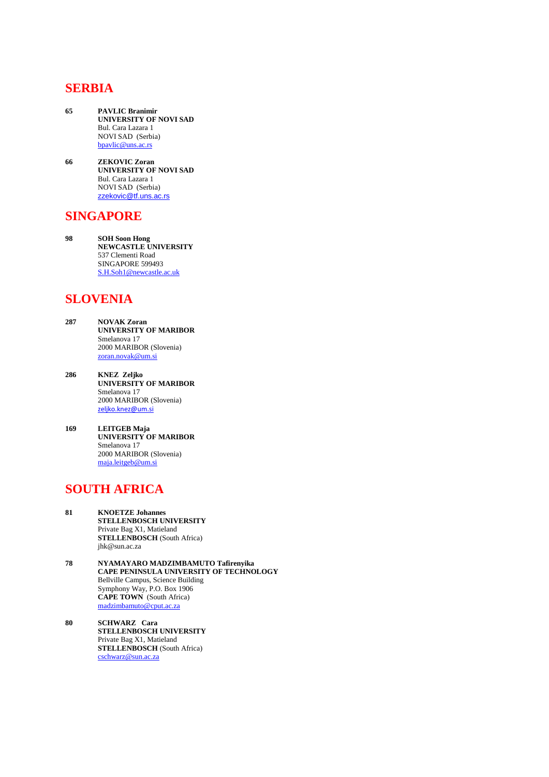#### **SERBIA**

- **65 PAVLIC Branimir UNIVERSITY OF NOVI SAD** Bul. Cara Lazara 1 NOVI SAD (Serbia) [bpavlic@uns.ac.rs](mailto:bpavlic@uns.ac.rs)
- **66 ZEKOVIC Zoran UNIVERSITY OF NOVI SAD** Bul. Cara Lazara 1 NOVI SAD (Serbia) [zzekovic@tf.uns.ac.rs](mailto:zzekovic@tf.uns.ac.rs)

#### **SINGAPORE**

**98 SOH Soon Hong NEWCASTLE UNIVERSITY** 537 Clementi Road SINGAPORE 599493 [S.H.Soh1@newcastle.ac.uk](mailto:S.H.Soh1@newcastle.ac.uk)

# **SLOVENIA**

- **287 NOVAK Zoran UNIVERSITY OF MARIBOR** Smelanova 17 2000 MARIBOR (Slovenia) [zoran.novak@um.si](mailto:zoran.novak@um.si)
- **286 KNEZ Zeljko UNIVERSITY OF MARIBOR** Smelanova 17 2000 MARIBOR (Slovenia) [zeljko.knez@um.si](mailto:zeljko.knez@um.si)
- **169 LEITGEB Maja UNIVERSITY OF MARIBOR** Smelanova 17 2000 MARIBOR (Slovenia) [maja.leitgeb@um.si](mailto:maja.leitgeb@um.si)

## **SOUTH AFRICA**

- **81 KNOETZE Johannes STELLENBOSCH UNIVERSITY** Private Bag X1, Matieland **STELLENBOSCH** (South Africa) jhk@sun.ac.za
- **78 NYAMAYARO MADZIMBAMUTO Tafirenyika CAPE PENINSULA UNIVERSITY OF TECHNOLOGY** Bellville Campus, Science Building Symphony Way, P.O. Box 1906 **CAPE TOWN** (South Africa) [madzimbamuto@cput.ac.za](mailto:madzimbamuto@cput.ac.za)
- **80 SCHWARZ Cara STELLENBOSCH UNIVERSITY** Private Bag X1, Matieland **STELLENBOSCH** (South Africa) [cschwarz@sun.ac.za](mailto:cschwarz@sun.ac.za)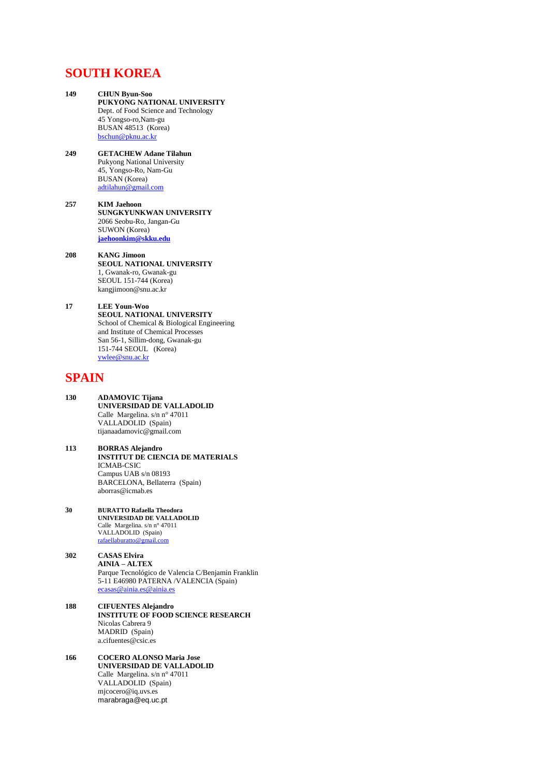#### **SOUTH KOREA**

**149 CHUN Byun-Soo PUKYONG NATIONAL UNIVERSITY** Dept. of Food Science and Technology 45 Yongso-ro,Nam-gu BUSAN 48513 (Korea) [bschun@pknu.ac.kr](mailto:bschun@pknu.ac.kr) **249 GETACHEW Adane Tilahun** Pukyong National University 45, Yongso-Ro, Nam-Gu BUSAN (Korea) [adtilahun@gmail.com](mailto:adtilahun@gmail.com) **257 KIM Jaehoon SUNGKYUNKWAN UNIVERSITY** 2066 Seobu-Ro, Jangan-Gu SUWON (Korea) **[jaehoonkim@skku.edu](mailto:jaehoonkim@skku.edu) 208 KANG Jimoon SEOUL NATIONAL UNIVERSITY** 1, Gwanak-ro, Gwanak-gu SEOUL 151-744 (Korea) kangjimoon@snu.ac.kr **17 LEE Youn-Woo SEOUL NATIONAL UNIVERSITY** School of Chemical & Biological Engineering and Institute of Chemical Processes San 56-1, Sillim-dong, Gwanak-gu

#### **SPAIN**

**130 ADAMOVIC Tijana UNIVERSIDAD DE VALLADOLID** Calle Margelina. s/n n° 47011 VALLADOLID (Spain) tijanaadamovic@gmail.com

151-744 SEOUL (Korea) [ywlee@snu.ac.kr](mailto:ywlee@snu.ac.kr)

- **113 BORRAS Alejandro INSTITUT DE CIENCIA DE MATERIALS** ICMAB-CSIC Campus UAB s/n 08193 BARCELONA, Bellaterra (Spain) aborras@icmab.es
- **30 BURATTO Rafaella Theodora UNIVERSIDAD DE VALLADOLID** Calle Margelina. s/n n° 47011 VALLADOLID (Spain) [rafaellaburatto@gmail.com](mailto:rafaellaburatto@gmail.com)
- **302 CASAS Elvira AINIA – ALTEX** Parque Tecnológico de Valencia C/Benjamin Franklin 5-11 E46980 PATERNA /VALENCIA (Spain) [ecasas@ainia.es@ainia.es](mailto:ecasas@ainia.es@ainia.es)
- **188 CIFUENTES Alejandro INSTITUTE OF FOOD SCIENCE RESEARCH** Nicolas Cabrera 9 MADRID (Spain) a.cifuentes@csic.es
- **166 COCERO ALONSO Maria Jose UNIVERSIDAD DE VALLADOLID** Calle Margelina. s/n n° 47011 VALLADOLID (Spain) mjcocero@iq.uvs.es marabraga@eq.uc.pt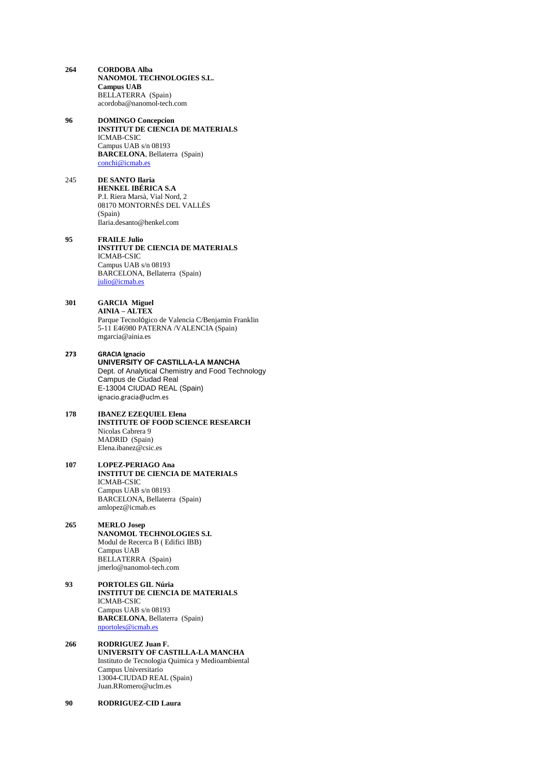- **264 CORDOBA Alba NANOMOL TECHNOLOGIES S.L. Campus UAB** BELLATERRA (Spain) acordoba@nanomol-tech.com **96 DOMINGO Concepcion INSTITUT DE CIENCIA DE MATERIALS** ICMAB-CSIC Campus UAB s/n 08193 **BARCELONA**, Bellaterra (Spain) [conchi@icmab.es](mailto:conchi@icmab.es)
- 245 **DE SANTO Ilaria HENKEL IBÉRICA S.A** P.I. Riera Marsà, Vial Nord, 2 08170 MONTORNÉS DEL VALLÉS (Spain) Ilaria.desanto@henkel.com

**95 FRAILE Julio INSTITUT DE CIENCIA DE MATERIALS** ICMAB-CSIC Campus UAB s/n 08193 BARCELONA, Bellaterra (Spain) [julio@icmab.es](mailto:julio@icmab.es)

- **301 GARCIA Miguel AINIA – ALTEX** Parque Tecnológico de Valencia C/Benjamin Franklin 5-11 E46980 PATERNA /VALENCIA (Spain) mgarcia@ainia.es
- **273 GRACIA Ignacio UNIVERSITY OF CASTILLA-LA MANCHA** Dept. of Analytical Chemistry and Food Technology Campus de Ciudad Real E-13004 CIUDAD REAL (Spain) ignacio.gracia@uclm.es

#### **178 IBANEZ EZEQUIEL Elena INSTITUTE OF FOOD SCIENCE RESEARCH** Nicolas Cabrera 9 MADRID (Spain) Elena.ibanez@csic.es

**107 LOPEZ-PERIAGO Ana INSTITUT DE CIENCIA DE MATERIALS** ICMAB-CSIC Campus UAB s/n 08193 BARCELONA, Bellaterra (Spain) amlopez@icmab.es

#### **265 MERLO Josep NANOMOL TECHNOLOGIES S.I.** Modul de Recerca B ( Edifici IBB) Campus UAB BELLATERRA (Spain) jmerlo@nanomol-tech.com

- **93 PORTOLES GIL Núria INSTITUT DE CIENCIA DE MATERIALS** ICMAB-CSIC Campus UAB s/n 08193 **BARCELONA**, Bellaterra (Spain) [nportoles@icmab.es](mailto:nportoles@icmab.es)
- **266 RODRIGUEZ Juan F. UNIVERSITY OF CASTILLA-LA MANCHA** Instituto de Tecnologia Quimica y Medioambiental Campus Universitario 13004-CIUDAD REAL (Spain) Juan.RRomero@uclm.es
- **90 RODRIGUEZ-CID Laura**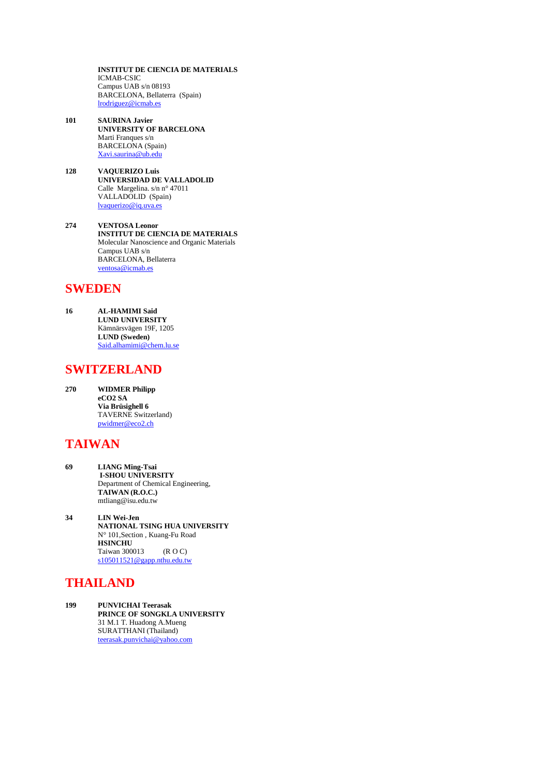**INSTITUT DE CIENCIA DE MATERIALS** ICMAB-CSIC Campus UAB s/n 08193 BARCELONA, Bellaterra (Spain) [lrodriguez@icmab.es](mailto:lrodriguez@icmab.es)

- **101 SAURINA Javier UNIVERSITY OF BARCELONA** Marti Franques s/n BARCELONA (Spain) [Xavi.saurina@ub.edu](mailto:Xavi.saurina@ub.edu)
- **128 VAQUERIZO Luis UNIVERSIDAD DE VALLADOLID** Calle Margelina. s/n n° 47011 VALLADOLID (Spain) [lvaquerizo@iq.uva.es](mailto:lvaquerizo@iq.uva.es)

**274 VENTOSA Leonor INSTITUT DE CIENCIA DE MATERIALS** Molecular Nanoscience and Organic Materials Campus UAB s/n BARCELONA, Bellaterra [ventosa@icmab.es](mailto:acordoba@nanomol-tech.com)

# **SWEDEN**

**16 AL-HAMIMI Said LUND UNIVERSITY** Kämnärsvägen 19F, 1205 **LUND (Sweden)** [Said.alhamimi@chem.lu.se](mailto:Said.alhamimi@chem.lu.se)

## **SWITZERLAND**

**270 WIDMER Philipp eCO2 SA Via Brüsighell 6** TAVERNE Switzerland) [pwidmer@eco2.ch](mailto:pwidmer@eco2.ch)

# **TAIWAN**

- **69 LIANG Ming-Tsai I-SHOU UNIVERSITY** Department of Chemical Engineering, **TAIWAN (R.O.C.)** mtliang@isu.edu.tw
- **34 LIN Wei-Jen NATIONAL TSING HUA UNIVERSITY** N° 101,Section , Kuang-Fu Road **HSINCHU** Taiwan 300013 (R O C) [s105011521@gapp.nthu.edu.tw](mailto:s105011521@gapp.nthu.edu.tw)

# **THAILAND**

**199 PUNVICHAI Teerasak PRINCE OF SONGKLA UNIVERSITY** 31 M.1 T. Huadong A.Mueng SURATTHANI (Thailand) [teerasak.punvichai@yahoo.com](mailto:teerasak.punvichai@yahoo.com)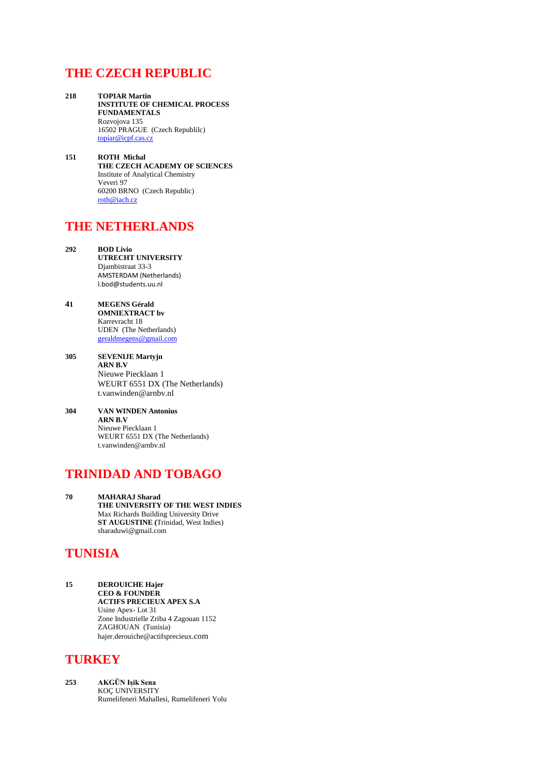# **THE CZECH REPUBLIC**

- **218 TOPIAR Martin INSTITUTE OF CHEMICAL PROCESS FUNDAMENTALS** Rozvojova 135 16502 PRAGUE (Czech Republilc) [topiar@icpf.cas.cz](mailto:topiar@icpf.cas.cz)
- **151 ROTH Michal THE CZECH ACADEMY OF SCIENCES** Institute of Analytical Chemistry Veveri 97 60200 BRNO (Czech Republic) [roth@iach.cz](mailto:roth@iach.cz)

# **THE NETHERLANDS**

- **292 BOD Livio UTRECHT UNIVERSITY** Djambistraat 33-3 AMSTERDAM (Netherlands) l.bod@students.uu.nl
- **41 MEGENS Gérald OMNIEXTRACT bv** Karrevracht 18 UDEN (The Netherlands) [geraldmegens@gmail.com](mailto:geraldmegens@gmail.com)
- **305 SEVENIJE Martyjn ARN B.V** Nieuwe Piecklaan 1 WEURT 6551 DX (The Netherlands) t.vanwinden@arnbv.nl
- **304 VAN WINDEN Antonius ARN B.V** Nieuwe Piecklaan 1 WEURT 6551 DX (The Netherlands) t.vanwinden@arnbv.nl

# **TRINIDAD AND TOBAGO**

**70 MAHARAJ Sharad THE UNIVERSITY OF THE WEST INDIES** Max Richards Building University Drive **ST AUGUSTINE (**Trinidad, West Indies) sharaduwi@gmail.com

# **TUNISIA**

**15 DEROUICHE Hajer CEO & FOUNDER ACTIFS PRECIEUX APEX S.A** Usine Apex- Lot 31 Zone Industrielle Zriba 4 Zagouan 1152 ZAGHOUAN (Tunisia) hajer.derouiche@actifsprecieux.com

#### **TURKEY**

**253 AKGÜN Iȿik Sena**  KOÇ UNIVERSITY Rumelifeneri Mahallesi, Rumelifeneri Yolu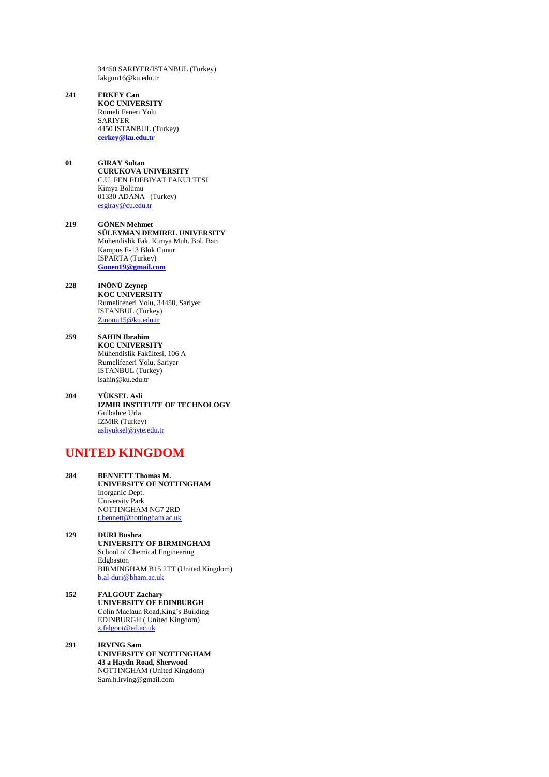34450 SARIYER/ISTANBUL (Turkey) Iakgun16@ku.edu.tr

- **241 ERKEY Can KOC UNIVERSITY** Rumeli Feneri Yolu SARIYER 4450 ISTANBUL (Turkey) **[cerkey@ku.edu.tr](mailto:cerkey@ku.edu.tr)**
- **01 GIRAY Sultan CURUKOVA UNIVERSITY** C.U. FEN EDEBIYAT FAKULTESI Kimya Bölümü 01330 ADANA (Turkey) [esgiray@cu.edu.tr](mailto:esgiray@cu.edu.tr)
- **219 GÖNEN Mehmet SÜLEYMAN DEMIREL UNIVERSITY** Muhendislik Fak. Kimya Muh. Bol. Batı Kampus E-13 Blok Cunur ISPARTA (Turkey) **[Gonen19@gmail.com](mailto:Gonen19@gmail.com)**
- **228 INÖNÜ Zeynep KOC UNIVERSITY** Rumelifeneri Yolu, 34450, Sariyer ISTANBUL (Turkey) [Zinonu15@ku.edu.tr](mailto:Zinonu15@ku.edu.tr)
- **259 SAHIN Ibrahim KOC UNIVERSITY** Mühendislik Fakültesi, 106 A Rumelifeneri Yolu, Sariyer ISTANBUL (Turkey) isahin@ku.edu.tr
- **204 YÜKSEL Asli IZMIR INSTITUTE OF TECHNOLOGY** Gulbahce Urla IZMIR (Turkey) [asliyuksel@iyte.edu.tr](mailto:asliyuksel@iyte.edu.tr)

# **UNITED KINGDOM**

- **284 BENNETT Thomas M. UNIVERSITY OF NOTTINGHAM** Inorganic Dept. University Park NOTTINGHAM NG7 2RD [t.bennett@nottingham.ac.uk](mailto:t.bennett@nottingham.ac.uk)
- **129 DURI Bushra UNIVERSITY OF BIRMINGHAM** School of Chemical Engineering Edgbaston BIRMINGHAM B15 2TT (United Kingdom) [b.al-duri@bham.ac.uk](mailto:b.al-duri@bham.ac.uk)
- **152 FALGOUT Zachary UNIVERSITY OF EDINBURGH** Colin Maclaun Road,King's Building EDINBURGH ( United Kingdom) [z.falgout@ed.ac.uk](mailto:z.falgout@ed.ac.uk)
- **291 IRVING Sam UNIVERSITY OF NOTTINGHAM 43 a Haydn Road, Sherwood** NOTTINGHAM (United Kingdom) Sam.h.irving@gmail.com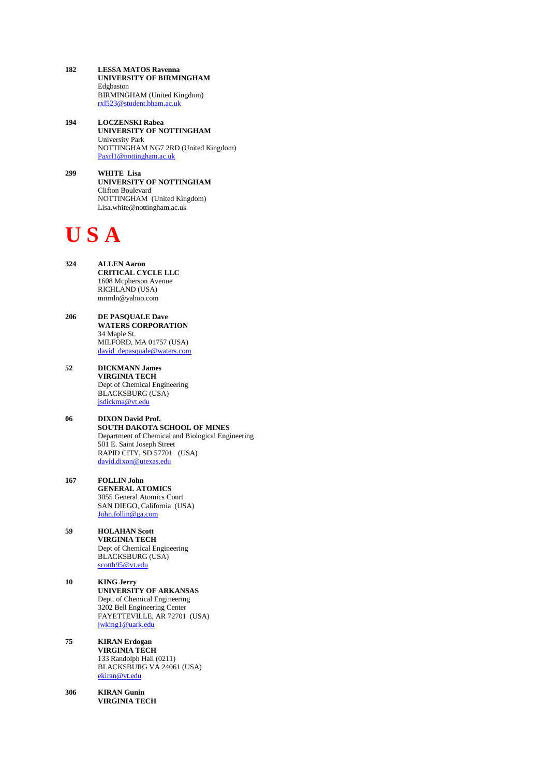- **182 LESSA MATOS Ravenna UNIVERSITY OF BIRMINGHAM** Edgbaston BIRMINGHAM (United Kingdom) [rxl523@student.bham.ac.uk](mailto:rxl523@student.bham.ac.uk)
- **194 LOCZENSKI Rabea UNIVERSITY OF NOTTINGHAM** University Park NOTTINGHAM NG7 2RD (United Kingdom) [Paxrl1@nottingham.ac.uk](mailto:Paxrl1@nottingham.ac.uk)
- **299 WHITE Lisa UNIVERSITY OF NOTTINGHAM**  Clifton Boulevard NOTTINGHAM (United Kingdom) Lisa.white@nottingham.ac.uk

# **U S A**

- **324 ALLEN Aaron CRITICAL CYCLE LLC** 1608 Mcpherson Avenue RICHLAND (USA) mnrnln@yahoo.com
- **206 DE PASQUALE Dave WATERS CORPORATION** 34 Maple St. MILFORD, MA 01757 (USA) [david\\_depasquale@waters.com](mailto:david_depasquale@waters.com)
- **52 DICKMANN James VIRGINIA TECH** Dept of Chemical Engineering BLACKSBURG (USA) [jsdickma@vt.edu](mailto:jsdickma@vt.edu)
- **06 DIXON David Prof. SOUTH DAKOTA SCHOOL OF MINES**  Department of Chemical and Biological Engineering 501 E. Saint Joseph Street RAPID CITY, SD 57701 (USA) [david.dixon@utexas.edu](mailto:david.dixon@utexas.edu)
- **167 FOLLIN John GENERAL ATOMICS** 3055 General Atomics Court SAN DIEGO, California (USA) [John.follin@ga.com](mailto:John.follin@ga.com)
- **59 HOLAHAN Scott VIRGINIA TECH** Dept of Chemical Engineering BLACKSBURG (USA) [scotth95@vt.edu](mailto:scotth95@vt.edu)
- **10 KING Jerry UNIVERSITY OF ARKANSAS** Dept. of Chemical Engineering 3202 Bell Engineering Center FAYETTEVILLE, AR 72701 (USA) [jwking1@uark.edu](mailto:jwking1@uark.edu)
- **75 KIRAN Erdogan VIRGINIA TECH** 133 Randolph Hall (0211) BLACKSBURG VA 24061 (USA) [ekiran@vt.edu](mailto:ekiran@vt.edu)
- **306 KIRAN Gunin VIRGINIA TECH**